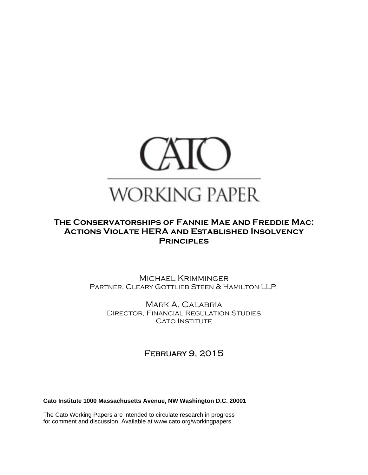

# **The Conservatorships of Fannie Mae and Freddie Mac: Actions Violate HERA and Established Insolvency Principles**

Michael Krimminger PARTNER, CLEARY GOTTLIEB STEEN & HAMILTON LLP.

Mark A. Calabria Director, Financial Regulation Studies **CATO INSTITUTE** 

February 9, 2015

**Cato Institute 1000 Massachusetts Avenue, NW Washington D.C. 20001** 

The Cato Working Papers are intended to circulate research in progress for comment and discussion. Available at www.cato.org/workingpapers.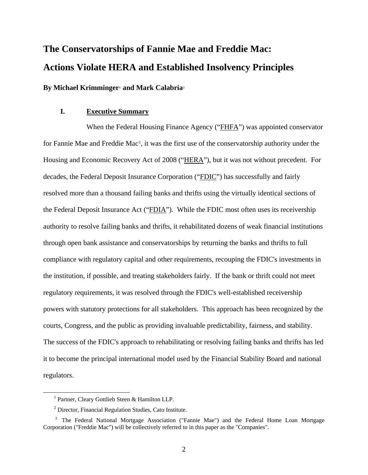# **The Conservatorships of Fannie Mae and Freddie Mac: Actions Violate HERA and Established Insolvency Principles**

**By Michael Krimminger[1](#page-1-0) and Mark Calabria[2](#page-1-1)**

#### **I. Executive Summary**

When the Federal Housing Finance Agency ("FHFA") was appointed conservator for Fannie Mae and Freddie Mac<sup>[3](#page-1-2)</sup>, it was the first use of the conservatorship authority under the Housing and Economic Recovery Act of 2008 ("HERA"), but it was not without precedent. For decades, the Federal Deposit Insurance Corporation ("FDIC") has successfully and fairly resolved more than a thousand failing banks and thrifts using the virtually identical sections of the Federal Deposit Insurance Act ("FDIA"). While the FDIC most often uses its receivership authority to resolve failing banks and thrifts, it rehabilitated dozens of weak financial institutions through open bank assistance and conservatorships by returning the banks and thrifts to full compliance with regulatory capital and other requirements, recouping the FDIC's investments in the institution, if possible, and treating stakeholders fairly. If the bank or thrift could not meet regulatory requirements, it was resolved through the FDIC's well-established receivership powers with statutory protections for all stakeholders. This approach has been recognized by the courts, Congress, and the public as providing invaluable predictability, fairness, and stability. The success of the FDIC's approach to rehabilitating or resolving failing banks and thrifts has led it to become the principal international model used by the Financial Stability Board and national regulators.

<span id="page-1-0"></span> <sup>1</sup> <sup>1</sup> Partner, Cleary Gottlieb Steen & Hamilton LLP.

<sup>&</sup>lt;sup>2</sup> Director, Financial Regulation Studies, Cato Institute.

<span id="page-1-2"></span><span id="page-1-1"></span><sup>&</sup>lt;sup>3</sup> The Federal National Mortgage Association ("Fannie Mae") and the Federal Home Loan Mortgage Corporation ("Freddie Mac") will be collectively referred to in this paper as the "Companies".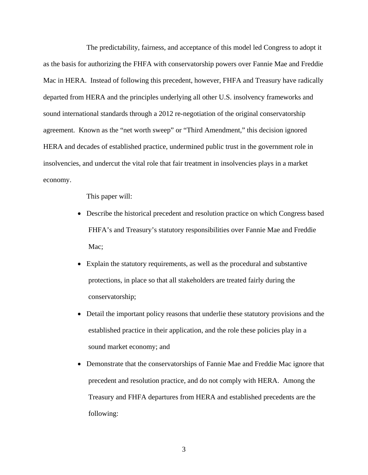The predictability, fairness, and acceptance of this model led Congress to adopt it as the basis for authorizing the FHFA with conservatorship powers over Fannie Mae and Freddie Mac in HERA. Instead of following this precedent, however, FHFA and Treasury have radically departed from HERA and the principles underlying all other U.S. insolvency frameworks and sound international standards through a 2012 re-negotiation of the original conservatorship agreement. Known as the "net worth sweep" or "Third Amendment," this decision ignored HERA and decades of established practice, undermined public trust in the government role in insolvencies, and undercut the vital role that fair treatment in insolvencies plays in a market economy.

This paper will:

- Describe the historical precedent and resolution practice on which Congress based FHFA's and Treasury's statutory responsibilities over Fannie Mae and Freddie Mac:
- Explain the statutory requirements, as well as the procedural and substantive protections, in place so that all stakeholders are treated fairly during the conservatorship;
- Detail the important policy reasons that underlie these statutory provisions and the established practice in their application, and the role these policies play in a sound market economy; and
- Demonstrate that the conservatorships of Fannie Mae and Freddie Mac ignore that precedent and resolution practice, and do not comply with HERA. Among the Treasury and FHFA departures from HERA and established precedents are the following: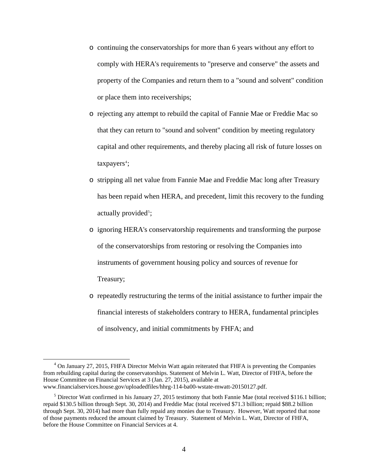- o continuing the conservatorships for more than 6 years without any effort to comply with HERA's requirements to "preserve and conserve" the assets and property of the Companies and return them to a "sound and solvent" condition or place them into receiverships;
- o rejecting any attempt to rebuild the capital of Fannie Mae or Freddie Mac so that they can return to "sound and solvent" condition by meeting regulatory capital and other requirements, and thereby placing all risk of future losses on  $t$ axpayers<sup>4</sup>;
- o stripping all net value from Fannie Mae and Freddie Mac long after Treasury has been repaid when HERA, and precedent, limit this recovery to the funding actually provided<sup>[5](#page-3-1)</sup>;
- o ignoring HERA's conservatorship requirements and transforming the purpose of the conservatorships from restoring or resolving the Companies into instruments of government housing policy and sources of revenue for Treasury;
- o repeatedly restructuring the terms of the initial assistance to further impair the financial interests of stakeholders contrary to HERA, fundamental principles of insolvency, and initial commitments by FHFA; and

<span id="page-3-0"></span> $\overline{4}$ <sup>4</sup> On January 27, 2015, FHFA Director Melvin Watt again reiterated that FHFA is preventing the Companies from rebuilding capital during the conservatorships. Statement of Melvin L. Watt, Director of FHFA, before the House Committee on Financial Services at 3 (Jan. 27, 2015), available at www.financialservices.house.gov/uploadedfiles/hhrg-114-ba00-wstate-mwatt-20150127.pdf.

<span id="page-3-1"></span> $<sup>5</sup>$  Director Watt confirmed in his January 27, 2015 testimony that both Fannie Mae (total received \$116.1 billion;</sup> repaid \$130.5 billion through Sept. 30, 2014) and Freddie Mac (total received \$71.3 billion; repaid \$88.2 billion through Sept. 30, 2014) had more than fully repaid any monies due to Treasury. However, Watt reported that none of those payments reduced the amount claimed by Treasury. Statement of Melvin L. Watt, Director of FHFA, before the House Committee on Financial Services at 4.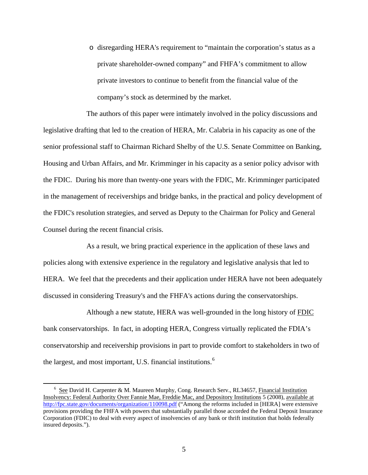o disregarding HERA's requirement to "maintain the corporation's status as a private shareholder-owned company" and FHFA's commitment to allow private investors to continue to benefit from the financial value of the company's stock as determined by the market.

The authors of this paper were intimately involved in the policy discussions and legislative drafting that led to the creation of HERA, Mr. Calabria in his capacity as one of the senior professional staff to Chairman Richard Shelby of the U.S. Senate Committee on Banking, Housing and Urban Affairs, and Mr. Krimminger in his capacity as a senior policy advisor with the FDIC. During his more than twenty-one years with the FDIC, Mr. Krimminger participated in the management of receiverships and bridge banks, in the practical and policy development of the FDIC's resolution strategies, and served as Deputy to the Chairman for Policy and General Counsel during the recent financial crisis.

As a result, we bring practical experience in the application of these laws and policies along with extensive experience in the regulatory and legislative analysis that led to HERA. We feel that the precedents and their application under HERA have not been adequately discussed in considering Treasury's and the FHFA's actions during the conservatorships.

Although a new statute, HERA was well-grounded in the long history of FDIC bank conservatorships. In fact, in adopting HERA, Congress virtually replicated the FDIA's conservatorship and receivership provisions in part to provide comfort to stakeholders in two of the largest, and most important, U.S. financial institutions. $<sup>6</sup>$  $<sup>6</sup>$  $<sup>6</sup>$ </sup>

<span id="page-4-0"></span> $\overline{6}$  $6$  See David H. Carpenter & M. Maureen Murphy, Cong. Research Serv., RL34657, Financial Institution Insolvency: Federal Authority Over Fannie Mae, Freddie Mac, and Depository Institutions 5 (2008), available at <http://fpc.state.gov/documents/organization/110098.pdf> ("Among the reforms included in [HERA] were extensive provisions providing the FHFA with powers that substantially parallel those accorded the Federal Deposit Insurance Corporation (FDIC) to deal with every aspect of insolvencies of any bank or thrift institution that holds federally insured deposits.").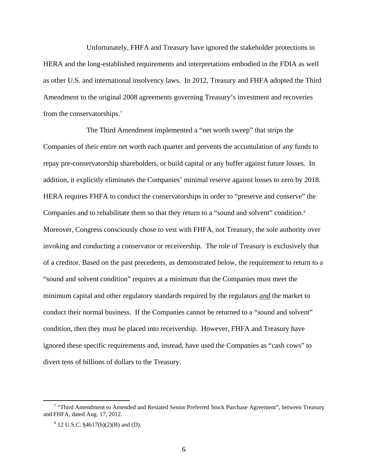Unfortunately, FHFA and Treasury have ignored the stakeholder protections in HERA and the long-established requirements and interpretations embodied in the FDIA as well as other U.S. and international insolvency laws. In 2012, Treasury and FHFA adopted the Third Amendment to the original 2008 agreements governing Treasury's investment and recoveries from the conservatorships.<sup>[7](#page-5-0)</sup>

The Third Amendment implemented a "net worth sweep" that strips the Companies of their entire net worth each quarter and prevents the accumulation of any funds to repay pre-conservatorship shareholders, or build capital or any buffer against future losses. In addition, it explicitly eliminates the Companies' minimal reserve against losses to zero by 2018. HERA requires FHFA to conduct the conservatorships in order to "preserve and conserve" the Companies and to rehabilitate them so that they return to a "sound and solvent" condition.[8](#page-5-1) Moreover, Congress consciously chose to vest with FHFA, not Treasury, the sole authority over invoking and conducting a conservator or receivership. The role of Treasury is exclusively that of a creditor. Based on the past precedents, as demonstrated below, the requirement to return to a "sound and solvent condition" requires at a minimum that the Companies must meet the minimum capital and other regulatory standards required by the regulators *and* the market to conduct their normal business. If the Companies cannot be returned to a "sound and solvent" condition, then they must be placed into receivership. However, FHFA and Treasury have ignored these specific requirements and, instead, have used the Companies as "cash cows" to divert tens of billions of dollars to the Treasury.

<span id="page-5-1"></span><span id="page-5-0"></span> $\frac{1}{7}$ <sup>7</sup> "Third Amendment to Amended and Restated Senior Preferred Stock Purchase Agreement", between Treasury and FHFA, dated Aug. 17, 2012.

 $8^8$  12 U.S.C.  $$4617(b)(2)(B)$  and (D).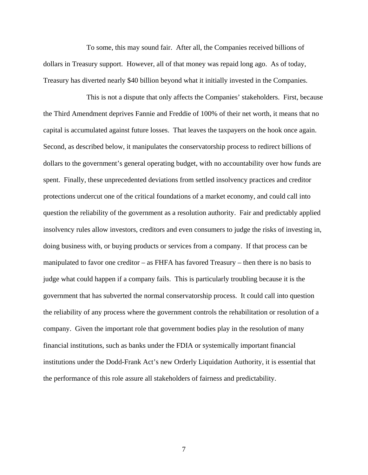To some, this may sound fair. After all, the Companies received billions of dollars in Treasury support. However, all of that money was repaid long ago. As of today, Treasury has diverted nearly \$40 billion beyond what it initially invested in the Companies.

This is not a dispute that only affects the Companies' stakeholders. First, because the Third Amendment deprives Fannie and Freddie of 100% of their net worth, it means that no capital is accumulated against future losses. That leaves the taxpayers on the hook once again. Second, as described below, it manipulates the conservatorship process to redirect billions of dollars to the government's general operating budget, with no accountability over how funds are spent. Finally, these unprecedented deviations from settled insolvency practices and creditor protections undercut one of the critical foundations of a market economy, and could call into question the reliability of the government as a resolution authority. Fair and predictably applied insolvency rules allow investors, creditors and even consumers to judge the risks of investing in, doing business with, or buying products or services from a company. If that process can be manipulated to favor one creditor – as FHFA has favored Treasury – then there is no basis to judge what could happen if a company fails. This is particularly troubling because it is the government that has subverted the normal conservatorship process. It could call into question the reliability of any process where the government controls the rehabilitation or resolution of a company. Given the important role that government bodies play in the resolution of many financial institutions, such as banks under the FDIA or systemically important financial institutions under the Dodd-Frank Act's new Orderly Liquidation Authority, it is essential that the performance of this role assure all stakeholders of fairness and predictability.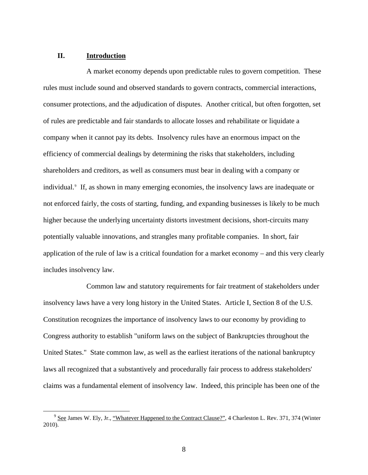#### **II. Introduction**

A market economy depends upon predictable rules to govern competition. These rules must include sound and observed standards to govern contracts, commercial interactions, consumer protections, and the adjudication of disputes. Another critical, but often forgotten, set of rules are predictable and fair standards to allocate losses and rehabilitate or liquidate a company when it cannot pay its debts. Insolvency rules have an enormous impact on the efficiency of commercial dealings by determining the risks that stakeholders, including shareholders and creditors, as well as consumers must bear in dealing with a company or individual.<sup>[9](#page-7-0)</sup> If, as shown in many emerging economies, the insolvency laws are inadequate or not enforced fairly, the costs of starting, funding, and expanding businesses is likely to be much higher because the underlying uncertainty distorts investment decisions, short-circuits many potentially valuable innovations, and strangles many profitable companies. In short, fair application of the rule of law is a critical foundation for a market economy – and this very clearly includes insolvency law.

Common law and statutory requirements for fair treatment of stakeholders under insolvency laws have a very long history in the United States. Article I, Section 8 of the U.S. Constitution recognizes the importance of insolvency laws to our economy by providing to Congress authority to establish "uniform laws on the subject of Bankruptcies throughout the United States." State common law, as well as the earliest iterations of the national bankruptcy laws all recognized that a substantively and procedurally fair process to address stakeholders' claims was a fundamental element of insolvency law. Indeed, this principle has been one of the

<span id="page-7-0"></span><sup>&</sup>lt;sup>9</sup> See James W. Ely, Jr., "Whatever Happened to the Contract Clause?", 4 Charleston L. Rev. 371, 374 (Winter 2010).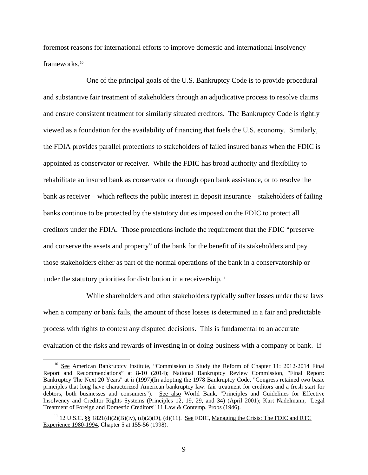foremost reasons for international efforts to improve domestic and international insolvency frameworks.<sup>[10](#page-8-0)</sup>

One of the principal goals of the U.S. Bankruptcy Code is to provide procedural and substantive fair treatment of stakeholders through an adjudicative process to resolve claims and ensure consistent treatment for similarly situated creditors. The Bankruptcy Code is rightly viewed as a foundation for the availability of financing that fuels the U.S. economy. Similarly, the FDIA provides parallel protections to stakeholders of failed insured banks when the FDIC is appointed as conservator or receiver. While the FDIC has broad authority and flexibility to rehabilitate an insured bank as conservator or through open bank assistance, or to resolve the bank as receiver – which reflects the public interest in deposit insurance – stakeholders of failing banks continue to be protected by the statutory duties imposed on the FDIC to protect all creditors under the FDIA. Those protections include the requirement that the FDIC "preserve and conserve the assets and property" of the bank for the benefit of its stakeholders and pay those stakeholders either as part of the normal operations of the bank in a conservatorship or under the statutory priorities for distribution in a receivership.<sup>11</sup>

While shareholders and other stakeholders typically suffer losses under these laws when a company or bank fails, the amount of those losses is determined in a fair and predictable process with rights to contest any disputed decisions. This is fundamental to an accurate evaluation of the risks and rewards of investing in or doing business with a company or bank. If

<span id="page-8-0"></span><sup>&</sup>lt;sup>10</sup> See American Bankruptcy Institute, "Commission to Study the Reform of Chapter 11: 2012-2014 Final Report and Recommendations" at 8-10 (2014); National Bankruptcy Review Commission, "Final Report: Bankruptcy The Next 20 Years" at ii (1997)(In adopting the 1978 Bankruptcy Code, "Congress retained two basic principles that long have characterized American bankruptcy law: fair treatment for creditors and a fresh start for debtors, both businesses and consumers"). See also World Bank, "Principles and Guidelines for Effective Insolvency and Creditor Rights Systems (Principles 12, 19, 29, and 34) (April 2001); Kurt Nadelmann, "Legal Treatment of Foreign and Domestic Creditors" 11 Law & Contemp. Probs (1946).

<span id="page-8-1"></span><sup>&</sup>lt;sup>11</sup> 12 U.S.C. §§ 1821(d)(2)(B)(iv), (d)(2)(D), (d)(11). <u>See</u> FDIC, Managing the Crisis: The FDIC and RTC Experience 1980-1994, Chapter 5 at 155-56 (1998).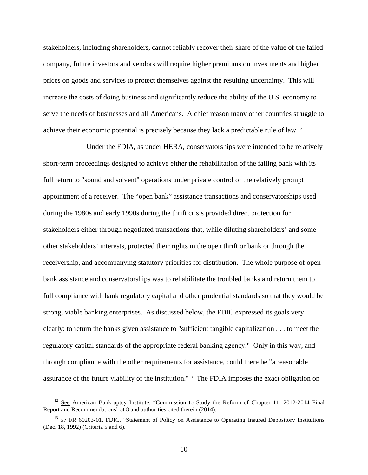stakeholders, including shareholders, cannot reliably recover their share of the value of the failed company, future investors and vendors will require higher premiums on investments and higher prices on goods and services to protect themselves against the resulting uncertainty. This will increase the costs of doing business and significantly reduce the ability of the U.S. economy to serve the needs of businesses and all Americans. A chief reason many other countries struggle to achieve their economic potential is precisely because they lack a predictable rule of law.[12](#page-9-0)

Under the FDIA, as under HERA, conservatorships were intended to be relatively short-term proceedings designed to achieve either the rehabilitation of the failing bank with its full return to "sound and solvent" operations under private control or the relatively prompt appointment of a receiver. The "open bank" assistance transactions and conservatorships used during the 1980s and early 1990s during the thrift crisis provided direct protection for stakeholders either through negotiated transactions that, while diluting shareholders' and some other stakeholders' interests, protected their rights in the open thrift or bank or through the receivership, and accompanying statutory priorities for distribution. The whole purpose of open bank assistance and conservatorships was to rehabilitate the troubled banks and return them to full compliance with bank regulatory capital and other prudential standards so that they would be strong, viable banking enterprises. As discussed below, the FDIC expressed its goals very clearly: to return the banks given assistance to "sufficient tangible capitalization . . . to meet the regulatory capital standards of the appropriate federal banking agency." Only in this way, and through compliance with the other requirements for assistance, could there be "a reasonable assurance of the future viability of the institution."[13](#page-9-1) The FDIA imposes the exact obligation on

<span id="page-9-0"></span><sup>&</sup>lt;sup>12</sup> See American Bankruptcy Institute, "Commission to Study the Reform of Chapter 11: 2012-2014 Final Report and Recommendations" at 8 and authorities cited therein (2014).

<span id="page-9-1"></span><sup>&</sup>lt;sup>13</sup> 57 FR 60203-01, FDIC, "Statement of Policy on Assistance to Operating Insured Depository Institutions (Dec. 18, 1992) (Criteria 5 and 6).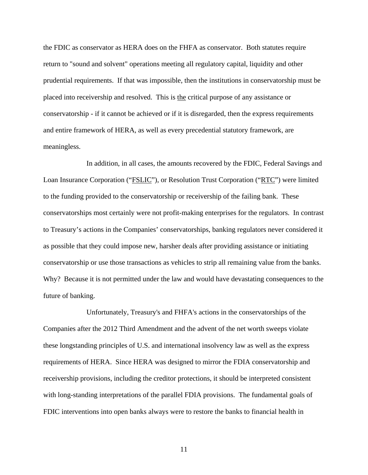the FDIC as conservator as HERA does on the FHFA as conservator. Both statutes require return to "sound and solvent" operations meeting all regulatory capital, liquidity and other prudential requirements. If that was impossible, then the institutions in conservatorship must be placed into receivership and resolved. This is the critical purpose of any assistance or conservatorship - if it cannot be achieved or if it is disregarded, then the express requirements and entire framework of HERA, as well as every precedential statutory framework, are meaningless.

In addition, in all cases, the amounts recovered by the FDIC, Federal Savings and Loan Insurance Corporation ("FSLIC"), or Resolution Trust Corporation ("RTC") were limited to the funding provided to the conservatorship or receivership of the failing bank. These conservatorships most certainly were not profit-making enterprises for the regulators. In contrast to Treasury's actions in the Companies' conservatorships, banking regulators never considered it as possible that they could impose new, harsher deals after providing assistance or initiating conservatorship or use those transactions as vehicles to strip all remaining value from the banks. Why? Because it is not permitted under the law and would have devastating consequences to the future of banking.

Unfortunately, Treasury's and FHFA's actions in the conservatorships of the Companies after the 2012 Third Amendment and the advent of the net worth sweeps violate these longstanding principles of U.S. and international insolvency law as well as the express requirements of HERA. Since HERA was designed to mirror the FDIA conservatorship and receivership provisions, including the creditor protections, it should be interpreted consistent with long-standing interpretations of the parallel FDIA provisions. The fundamental goals of FDIC interventions into open banks always were to restore the banks to financial health in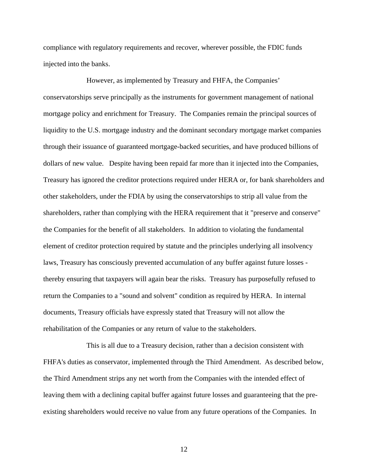compliance with regulatory requirements and recover, wherever possible, the FDIC funds injected into the banks.

However, as implemented by Treasury and FHFA, the Companies' conservatorships serve principally as the instruments for government management of national mortgage policy and enrichment for Treasury. The Companies remain the principal sources of liquidity to the U.S. mortgage industry and the dominant secondary mortgage market companies through their issuance of guaranteed mortgage-backed securities, and have produced billions of dollars of new value. Despite having been repaid far more than it injected into the Companies, Treasury has ignored the creditor protections required under HERA or, for bank shareholders and other stakeholders, under the FDIA by using the conservatorships to strip all value from the shareholders, rather than complying with the HERA requirement that it "preserve and conserve" the Companies for the benefit of all stakeholders. In addition to violating the fundamental element of creditor protection required by statute and the principles underlying all insolvency laws, Treasury has consciously prevented accumulation of any buffer against future losses thereby ensuring that taxpayers will again bear the risks. Treasury has purposefully refused to return the Companies to a "sound and solvent" condition as required by HERA. In internal documents, Treasury officials have expressly stated that Treasury will not allow the rehabilitation of the Companies or any return of value to the stakeholders.

This is all due to a Treasury decision, rather than a decision consistent with FHFA's duties as conservator, implemented through the Third Amendment. As described below, the Third Amendment strips any net worth from the Companies with the intended effect of leaving them with a declining capital buffer against future losses and guaranteeing that the preexisting shareholders would receive no value from any future operations of the Companies. In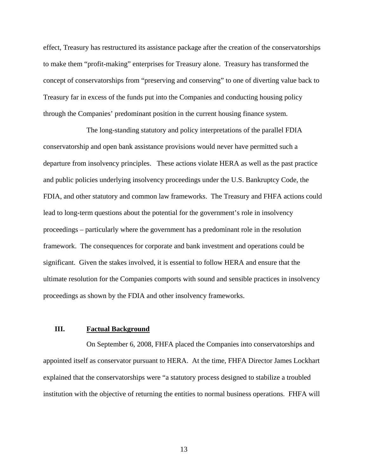effect, Treasury has restructured its assistance package after the creation of the conservatorships to make them "profit-making" enterprises for Treasury alone. Treasury has transformed the concept of conservatorships from "preserving and conserving" to one of diverting value back to Treasury far in excess of the funds put into the Companies and conducting housing policy through the Companies' predominant position in the current housing finance system.

The long-standing statutory and policy interpretations of the parallel FDIA conservatorship and open bank assistance provisions would never have permitted such a departure from insolvency principles. These actions violate HERA as well as the past practice and public policies underlying insolvency proceedings under the U.S. Bankruptcy Code, the FDIA, and other statutory and common law frameworks. The Treasury and FHFA actions could lead to long-term questions about the potential for the government's role in insolvency proceedings – particularly where the government has a predominant role in the resolution framework. The consequences for corporate and bank investment and operations could be significant. Given the stakes involved, it is essential to follow HERA and ensure that the ultimate resolution for the Companies comports with sound and sensible practices in insolvency proceedings as shown by the FDIA and other insolvency frameworks.

#### **III. Factual Background**

On September 6, 2008, FHFA placed the Companies into conservatorships and appointed itself as conservator pursuant to HERA. At the time, FHFA Director James Lockhart explained that the conservatorships were "a statutory process designed to stabilize a troubled institution with the objective of returning the entities to normal business operations. FHFA will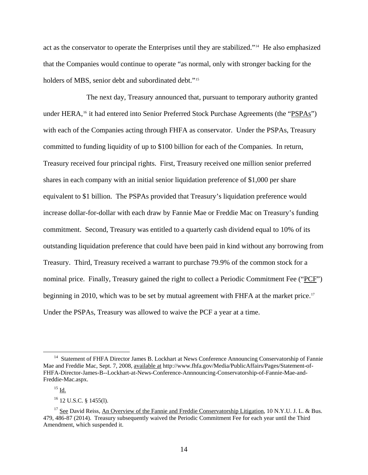act as the conservator to operate the Enterprises until they are stabilized."[14](#page-13-0) He also emphasized that the Companies would continue to operate "as normal, only with stronger backing for the holders of MBS, senior debt and subordinated debt."<sup>[15](#page-13-1)</sup>

The next day, Treasury announced that, pursuant to temporary authority granted under HERA,<sup>[16](#page-13-2)</sup> it had entered into Senior Preferred Stock Purchase Agreements (the "PSPAs") with each of the Companies acting through FHFA as conservator. Under the PSPAs, Treasury committed to funding liquidity of up to \$100 billion for each of the Companies. In return, Treasury received four principal rights. First, Treasury received one million senior preferred shares in each company with an initial senior liquidation preference of \$1,000 per share equivalent to \$1 billion. The PSPAs provided that Treasury's liquidation preference would increase dollar-for-dollar with each draw by Fannie Mae or Freddie Mac on Treasury's funding commitment. Second, Treasury was entitled to a quarterly cash dividend equal to 10% of its outstanding liquidation preference that could have been paid in kind without any borrowing from Treasury. Third, Treasury received a warrant to purchase 79.9% of the common stock for a nominal price. Finally, Treasury gained the right to collect a Periodic Commitment Fee ("PCF") beginning in 2010, which was to be set by mutual agreement with FHFA at the market price.<sup>[17](#page-13-3)</sup> Under the PSPAs, Treasury was allowed to waive the PCF a year at a time.

<span id="page-13-0"></span><sup>&</sup>lt;sup>14</sup> Statement of FHFA Director James B. Lockhart at News Conference Announcing Conservatorship of Fannie Mae and Freddie Mac, Sept. 7, 2008, available at http://www.fhfa.gov/Media/PublicAffairs/Pages/Statement-of-FHFA-Director-James-B--Lockhart-at-News-Conference-Annnouncing-Conservatorship-of-Fannie-Mae-and-Freddie-Mac.aspx.

 $^{15}$  Id.  $\,$ 

<sup>16 12</sup> U.S.C. § 1455(l).

<span id="page-13-3"></span><span id="page-13-2"></span><span id="page-13-1"></span><sup>&</sup>lt;sup>17</sup> See David Reiss, An Overview of the Fannie and Freddie Conservatorship Litigation, 10 N.Y.U. J. L. & Bus. 479, 486-87 (2014). Treasury subsequently waived the Periodic Commitment Fee for each year until the Third Amendment, which suspended it.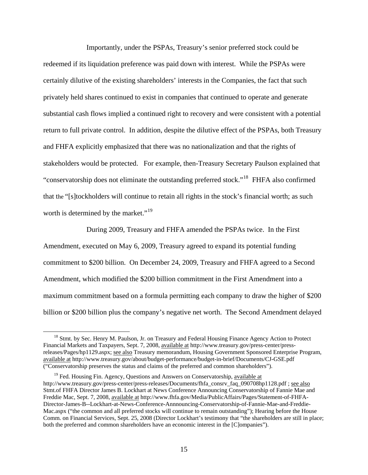Importantly, under the PSPAs, Treasury's senior preferred stock could be redeemed if its liquidation preference was paid down with interest. While the PSPAs were certainly dilutive of the existing shareholders' interests in the Companies, the fact that such privately held shares continued to exist in companies that continued to operate and generate substantial cash flows implied a continued right to recovery and were consistent with a potential return to full private control. In addition, despite the dilutive effect of the PSPAs, both Treasury and FHFA explicitly emphasized that there was no nationalization and that the rights of stakeholders would be protected. For example, then-Treasury Secretary Paulson explained that "conservatorship does not eliminate the outstanding preferred stock."[18](#page-14-0) FHFA also confirmed that the "[s]tockholders will continue to retain all rights in the stock's financial worth; as such worth is determined by the market."<sup>[19](#page-14-1)</sup>

During 2009, Treasury and FHFA amended the PSPAs twice. In the First Amendment, executed on May 6, 2009, Treasury agreed to expand its potential funding commitment to \$200 billion. On December 24, 2009, Treasury and FHFA agreed to a Second Amendment, which modified the \$200 billion commitment in the First Amendment into a maximum commitment based on a formula permitting each company to draw the higher of \$200 billion or \$200 billion plus the company's negative net worth. The Second Amendment delayed

<span id="page-14-0"></span><sup>&</sup>lt;sup>18</sup> Stmt. by Sec. Henry M. Paulson, Jr. on Treasury and Federal Housing Finance Agency Action to Protect Financial Markets and Taxpayers, Sept. 7, 2008, available at http://www.treasury.gov/press-center/pressreleases/Pages/hp1129.aspx; see also Treasury memorandum, Housing Government Sponsored Enterprise Program, available at http://www.treasury.gov/about/budget-performance/budget-in-brief/Documents/CJ-GSE.pdf ("Conservatorship preserves the status and claims of the preferred and common shareholders").

<span id="page-14-1"></span> $19$  Fed. Housing Fin. Agency, Questions and Answers on Conservatorship, available at http://www.treasury.gov/press-center/press-releases/Documents/fhfa\_consrv\_faq\_090708hp1128.pdf ; see also Stmt.of FHFA Director James B. Lockhart at News Conference Announcing Conservatorship of Fannie Mae and Freddie Mac, Sept. 7, 2008, available at http://www.fhfa.gov/Media/PublicAffairs/Pages/Statement-of-FHFA-Director-James-B--Lockhart-at-News-Conference-Annnouncing-Conservatorship-of-Fannie-Mae-and-Freddie-Mac.aspx ("the common and all preferred stocks will continue to remain outstanding"); Hearing before the House Comm. on Financial Services, Sept. 25, 2008 (Director Lockhart's testimony that "the shareholders are still in place; both the preferred and common shareholders have an economic interest in the [C]ompanies").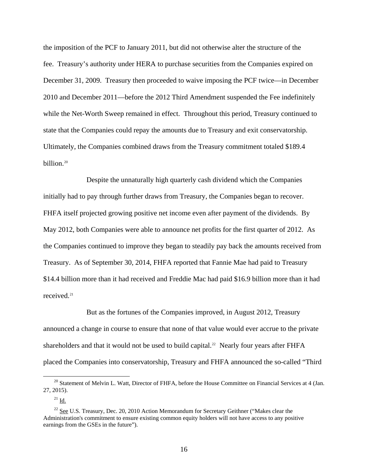the imposition of the PCF to January 2011, but did not otherwise alter the structure of the fee. Treasury's authority under HERA to purchase securities from the Companies expired on December 31, 2009. Treasury then proceeded to waive imposing the PCF twice—in December 2010 and December 2011—before the 2012 Third Amendment suspended the Fee indefinitely while the Net-Worth Sweep remained in effect. Throughout this period, Treasury continued to state that the Companies could repay the amounts due to Treasury and exit conservatorship. Ultimately, the Companies combined draws from the Treasury commitment totaled \$189.4 billion.[20](#page-15-0)

Despite the unnaturally high quarterly cash dividend which the Companies initially had to pay through further draws from Treasury, the Companies began to recover. FHFA itself projected growing positive net income even after payment of the dividends. By May 2012, both Companies were able to announce net profits for the first quarter of 2012. As the Companies continued to improve they began to steadily pay back the amounts received from Treasury. As of September 30, 2014, FHFA reported that Fannie Mae had paid to Treasury \$14.4 billion more than it had received and Freddie Mac had paid \$16.9 billion more than it had received.<sup>[21](#page-15-1)</sup>

But as the fortunes of the Companies improved, in August 2012, Treasury announced a change in course to ensure that none of that value would ever accrue to the private shareholders and that it would not be used to build capital.<sup>[22](#page-15-2)</sup> Nearly four years after FHFA placed the Companies into conservatorship, Treasury and FHFA announced the so-called "Third

<span id="page-15-0"></span><sup>&</sup>lt;sup>20</sup> Statement of Melvin L. Watt, Director of FHFA, before the House Committee on Financial Services at 4 (Jan. 27, 2015).

 $21$  Id.

<span id="page-15-2"></span><span id="page-15-1"></span><sup>&</sup>lt;sup>22</sup> See U.S. Treasury, Dec. 20, 2010 Action Memorandum for Secretary Geithner ("Makes clear the Administration's commitment to ensure existing common equity holders will not have access to any positive earnings from the GSEs in the future").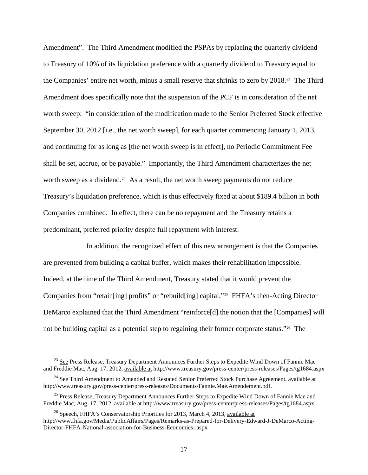Amendment". The Third Amendment modified the PSPAs by replacing the quarterly dividend to Treasury of 10% of its liquidation preference with a quarterly dividend to Treasury equal to the Companies' entire net worth, minus a small reserve that shrinks to zero by 2018.<sup>[23](#page-16-0)</sup> The Third Amendment does specifically note that the suspension of the PCF is in consideration of the net worth sweep: "in consideration of the modification made to the Senior Preferred Stock effective September 30, 2012 [i.e., the net worth sweep], for each quarter commencing January 1, 2013, and continuing for as long as [the net worth sweep is in effect], no Periodic Commitment Fee shall be set, accrue, or be payable." Importantly, the Third Amendment characterizes the net worth sweep as a dividend.<sup>[24](#page-16-1)</sup> As a result, the net worth sweep payments do not reduce Treasury's liquidation preference, which is thus effectively fixed at about \$189.4 billion in both Companies combined. In effect, there can be no repayment and the Treasury retains a predominant, preferred priority despite full repayment with interest.

In addition, the recognized effect of this new arrangement is that the Companies are prevented from building a capital buffer, which makes their rehabilitation impossible. Indeed, at the time of the Third Amendment, Treasury stated that it would prevent the Companies from "retain[ing] profits" or "rebuild[ing] capital."<sup>[25](#page-16-2)</sup> FHFA's then-Acting Director DeMarco explained that the Third Amendment "reinforce[d] the notion that the [Companies] will not be building capital as a potential step to regaining their former corporate status."<sup>[26](#page-16-3)</sup> The

 $\overline{a}$ 

<span id="page-16-0"></span><sup>&</sup>lt;sup>23</sup> See Press Release, Treasury Department Announces Further Steps to Expedite Wind Down of Fannie Mae and Freddie Mac, Aug. 17, 2012, available at http://www.treasury.gov/press-center/press-releases/Pages/tg1684.aspx

<span id="page-16-1"></span> $24$  See Third Amendment to Amended and Restated Senior Preferred Stock Purchase Agreement, available at http://www.treasury.gov/press-center/press-releases/Documents/Fannie.Mae.Amendement.pdf.

<span id="page-16-2"></span><sup>&</sup>lt;sup>25</sup> Press Release, Treasury Department Announces Further Steps to Expedite Wind Down of Fannie Mae and Freddie Mac, Aug. 17, 2012, available at http://www.treasury.gov/press-center/press-releases/Pages/tg1684.aspx

<span id="page-16-3"></span> $^{26}$  Speech, FHFA's Conservatorship Priorities for 2013, March 4, 2013, available at http://www.fhfa.gov/Media/PublicAffairs/Pages/Remarks-as-Prepared-for-Delivery-Edward-J-DeMarco-Acting-Director-FHFA-National-association-for-Business-Economics-.aspx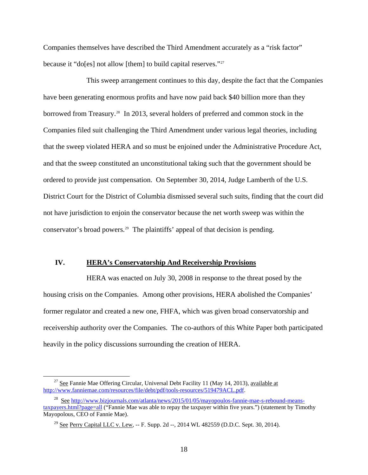Companies themselves have described the Third Amendment accurately as a "risk factor" because it "do[es] not allow [them] to build capital reserves."[27](#page-17-0)

This sweep arrangement continues to this day, despite the fact that the Companies have been generating enormous profits and have now paid back \$40 billion more than they borrowed from Treasury.<sup>[28](#page-17-1)</sup> In 2013, several holders of preferred and common stock in the Companies filed suit challenging the Third Amendment under various legal theories, including that the sweep violated HERA and so must be enjoined under the Administrative Procedure Act, and that the sweep constituted an unconstitutional taking such that the government should be ordered to provide just compensation. On September 30, 2014, Judge Lamberth of the U.S. District Court for the District of Columbia dismissed several such suits, finding that the court did not have jurisdiction to enjoin the conservator because the net worth sweep was within the conservator's broad powers.<sup>[29](#page-17-2)</sup> The plaintiffs' appeal of that decision is pending.

#### **IV. HERA's Conservatorship And Receivership Provisions**

HERA was enacted on July 30, 2008 in response to the threat posed by the housing crisis on the Companies. Among other provisions, HERA abolished the Companies' former regulator and created a new one, FHFA, which was given broad conservatorship and receivership authority over the Companies. The co-authors of this White Paper both participated heavily in the policy discussions surrounding the creation of HERA.

<span id="page-17-0"></span> $27$  See Fannie Mae Offering Circular, Universal Debt Facility 11 (May 14, 2013), available at <http://www.fanniemae.com/resources/file/debt/pdf/tools-resources/519479ACL.pdf>.

<span id="page-17-2"></span><span id="page-17-1"></span><sup>&</sup>lt;sup>28</sup> See [http://www.bizjournals.com/atlanta/news/2015/01/05/mayopoulos-fannie-mae-s-rebound-means](http://www.bizjournals.com/atlanta/news/2015/01/05/mayopoulos-fannie-mae-s-rebound-means-taxpayers.html?page=all)[taxpayers.html?page=all](http://www.bizjournals.com/atlanta/news/2015/01/05/mayopoulos-fannie-mae-s-rebound-means-taxpayers.html?page=all) ("Fannie Mae was able to repay the taxpayer within five years.") (statement by Timothy Mayopolous, CEO of Fannie Mae).

<sup>&</sup>lt;sup>29</sup> See Perry Capital LLC v. Lew, -- F. Supp. 2d --, 2014 WL 482559 (D.D.C. Sept. 30, 2014).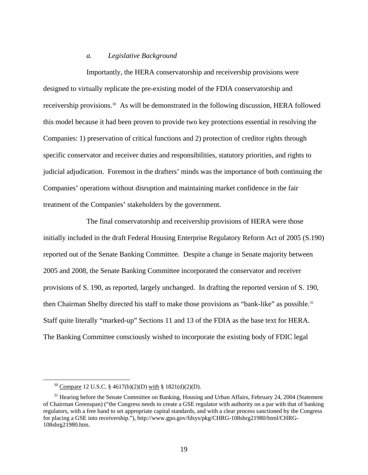#### *a. Legislative Background*

Importantly, the HERA conservatorship and receivership provisions were designed to virtually replicate the pre-existing model of the FDIA conservatorship and receivership provisions.<sup>[30](#page-18-0)</sup> As will be demonstrated in the following discussion, HERA followed this model because it had been proven to provide two key protections essential in resolving the Companies: 1) preservation of critical functions and 2) protection of creditor rights through specific conservator and receiver duties and responsibilities, statutory priorities, and rights to judicial adjudication. Foremost in the drafters' minds was the importance of both continuing the Companies' operations without disruption and maintaining market confidence in the fair treatment of the Companies' stakeholders by the government.

The final conservatorship and receivership provisions of HERA were those initially included in the draft Federal Housing Enterprise Regulatory Reform Act of 2005 (S.190) reported out of the Senate Banking Committee. Despite a change in Senate majority between 2005 and 2008, the Senate Banking Committee incorporated the conservator and receiver provisions of S. 190, as reported, largely unchanged. In drafting the reported version of S. 190, then Chairman Shelby directed his staff to make those provisions as "bank-like" as possible.<sup>[31](#page-18-1)</sup> Staff quite literally "marked-up" Sections 11 and 13 of the FDIA as the base text for HERA. The Banking Committee consciously wished to incorporate the existing body of FDIC legal

 <sup>30</sup> Compare 12 U.S.C. § 4617(b)(2)(D) with § 1821(d)(2)(D).

<span id="page-18-1"></span><span id="page-18-0"></span> $31$  Hearing before the Senate Committee on Banking, Housing and Urban Affairs, February 24, 2004 (Statement of Chairman Greenspan) ("the Congress needs to create a GSE regulator with authority on a par with that of banking regulators, with a free hand to set appropriate capital standards, and with a clear process sanctioned by the Congress for placing a GSE into receivership."), http://www.gpo.gov/fdsys/pkg/CHRG-108shrg21980/html/CHRG-108shrg21980.htm.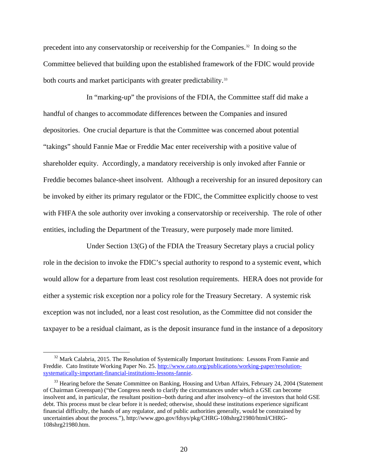precedent into any conservatorship or receivership for the Companies[.32](#page-19-0) In doing so the Committee believed that building upon the established framework of the FDIC would provide both courts and market participants with greater predictability.<sup>[33](#page-19-1)</sup>

In "marking-up" the provisions of the FDIA, the Committee staff did make a handful of changes to accommodate differences between the Companies and insured depositories. One crucial departure is that the Committee was concerned about potential "takings" should Fannie Mae or Freddie Mac enter receivership with a positive value of shareholder equity. Accordingly, a mandatory receivership is only invoked after Fannie or Freddie becomes balance-sheet insolvent. Although a receivership for an insured depository can be invoked by either its primary regulator or the FDIC, the Committee explicitly choose to vest with FHFA the sole authority over invoking a conservatorship or receivership. The role of other entities, including the Department of the Treasury, were purposely made more limited.

Under Section 13(G) of the FDIA the Treasury Secretary plays a crucial policy role in the decision to invoke the FDIC's special authority to respond to a systemic event, which would allow for a departure from least cost resolution requirements. HERA does not provide for either a systemic risk exception nor a policy role for the Treasury Secretary. A systemic risk exception was not included, nor a least cost resolution, as the Committee did not consider the taxpayer to be a residual claimant, as is the deposit insurance fund in the instance of a depository

<span id="page-19-0"></span> $32$  Mark Calabria, 2015. The Resolution of Systemically Important Institutions: Lessons From Fannie and Freddie. Cato Institute Working Paper No. 25. [http://www.cato.org/publications/working-paper/resolution](http://www.cato.org/publications/working-paper/resolution-systematically-important-financial-institutions-lessons-fannie)[systematically-important-financial-institutions-lessons-fannie](http://www.cato.org/publications/working-paper/resolution-systematically-important-financial-institutions-lessons-fannie).

<span id="page-19-1"></span><sup>&</sup>lt;sup>33</sup> Hearing before the Senate Committee on Banking, Housing and Urban Affairs, February 24, 2004 (Statement of Chairman Greenspan) ("the Congress needs to clarify the circumstances under which a GSE can become insolvent and, in particular, the resultant position--both during and after insolvency--of the investors that hold GSE debt. This process must be clear before it is needed; otherwise, should these institutions experience significant financial difficulty, the hands of any regulator, and of public authorities generally, would be constrained by uncertainties about the process."), http://www.gpo.gov/fdsys/pkg/CHRG-108shrg21980/html/CHRG-108shrg21980.htm.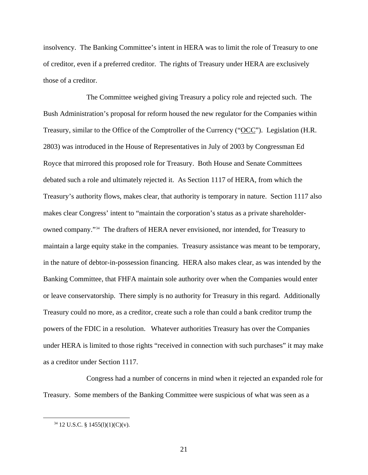insolvency. The Banking Committee's intent in HERA was to limit the role of Treasury to one of creditor, even if a preferred creditor. The rights of Treasury under HERA are exclusively those of a creditor.

The Committee weighed giving Treasury a policy role and rejected such. The Bush Administration's proposal for reform housed the new regulator for the Companies within Treasury, similar to the Office of the Comptroller of the Currency ("OCC"). Legislation (H.R. 2803) was introduced in the House of Representatives in July of 2003 by Congressman Ed Royce that mirrored this proposed role for Treasury. Both House and Senate Committees debated such a role and ultimately rejected it. As Section 1117 of HERA, from which the Treasury's authority flows, makes clear, that authority is temporary in nature. Section 1117 also makes clear Congress' intent to "maintain the corporation's status as a private shareholderowned company."[34](#page-20-0) The drafters of HERA never envisioned, nor intended, for Treasury to maintain a large equity stake in the companies. Treasury assistance was meant to be temporary, in the nature of debtor-in-possession financing. HERA also makes clear, as was intended by the Banking Committee, that FHFA maintain sole authority over when the Companies would enter or leave conservatorship. There simply is no authority for Treasury in this regard. Additionally Treasury could no more, as a creditor, create such a role than could a bank creditor trump the powers of the FDIC in a resolution. Whatever authorities Treasury has over the Companies under HERA is limited to those rights "received in connection with such purchases" it may make as a creditor under Section 1117.

Congress had a number of concerns in mind when it rejected an expanded role for Treasury. Some members of the Banking Committee were suspicious of what was seen as a

<span id="page-20-0"></span> $34$  12 U.S.C. § 1455(1)(1)(C)(v).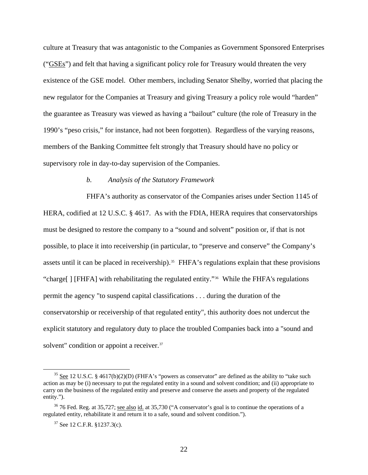culture at Treasury that was antagonistic to the Companies as Government Sponsored Enterprises ("GSEs") and felt that having a significant policy role for Treasury would threaten the very existence of the GSE model. Other members, including Senator Shelby, worried that placing the new regulator for the Companies at Treasury and giving Treasury a policy role would "harden" the guarantee as Treasury was viewed as having a "bailout" culture (the role of Treasury in the 1990's "peso crisis," for instance, had not been forgotten). Regardless of the varying reasons, members of the Banking Committee felt strongly that Treasury should have no policy or supervisory role in day-to-day supervision of the Companies.

#### *b. Analysis of the Statutory Framework*

FHFA's authority as conservator of the Companies arises under Section 1145 of HERA, codified at 12 U.S.C. § 4617. As with the FDIA, HERA requires that conservatorships must be designed to restore the company to a "sound and solvent" position or, if that is not possible, to place it into receivership (in particular, to "preserve and conserve" the Company's assets until it can be placed in receivership).<sup>35</sup> FHFA's regulations explain that these provisions "charge[ ] [FHFA] with rehabilitating the regulated entity."[36](#page-21-1) While the FHFA's regulations permit the agency "to suspend capital classifications . . . during the duration of the conservatorship or receivership of that regulated entity", this authority does not undercut the explicit statutory and regulatory duty to place the troubled Companies back into a "sound and solvent" condition or appoint a receiver.<sup>[37](#page-21-2)</sup>

<span id="page-21-0"></span> $35$  See 12 U.S.C. § 4617(b)(2)(D) (FHFA's "powers as conservator" are defined as the ability to "take such action as may be (i) necessary to put the regulated entity in a sound and solvent condition; and (ii) appropriate to carry on the business of the regulated entity and preserve and conserve the assets and property of the regulated entity.").

<span id="page-21-2"></span><span id="page-21-1"></span><sup>&</sup>lt;sup>36</sup> 76 Fed. Reg. at 35,727; <u>see also id.</u> at 35,730 ("A conservator's goal is to continue the operations of a regulated entity, rehabilitate it and return it to a safe, sound and solvent condition.").

 $37$  See 12 C.F.R.  $$1237.3(c)$ .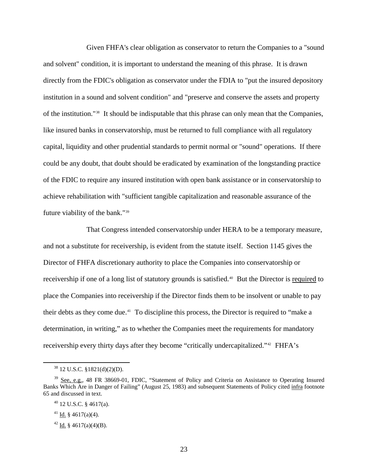Given FHFA's clear obligation as conservator to return the Companies to a "sound and solvent" condition, it is important to understand the meaning of this phrase. It is drawn directly from the FDIC's obligation as conservator under the FDIA to "put the insured depository institution in a sound and solvent condition" and "preserve and conserve the assets and property of the institution."[38](#page-22-0) It should be indisputable that this phrase can only mean that the Companies, like insured banks in conservatorship, must be returned to full compliance with all regulatory capital, liquidity and other prudential standards to permit normal or "sound" operations. If there could be any doubt, that doubt should be eradicated by examination of the longstanding practice of the FDIC to require any insured institution with open bank assistance or in conservatorship to achieve rehabilitation with "sufficient tangible capitalization and reasonable assurance of the future viability of the bank."[39](#page-22-1)

That Congress intended conservatorship under HERA to be a temporary measure, and not a substitute for receivership, is evident from the statute itself. Section 1145 gives the Director of FHFA discretionary authority to place the Companies into conservatorship or receivership if one of a long list of statutory grounds is satisfied.<sup>[40](#page-22-2)</sup> But the Director is required to place the Companies into receivership if the Director finds them to be insolvent or unable to pay their debts as they come due.[41](#page-22-3) To discipline this process, the Director is required to "make a determination, in writing," as to whether the Companies meet the requirements for mandatory receivership every thirty days after they become "critically undercapitalized."[42](#page-22-4) FHFA's

 $38$  12 U.S.C. §1821(d)(2)(D).

<span id="page-22-2"></span><span id="page-22-1"></span><span id="page-22-0"></span><sup>&</sup>lt;sup>39</sup> See, e.g., 48 FR 38669-01, FDIC, "Statement of Policy and Criteria on Assistance to Operating Insured Banks Which Are in Danger of Failing" (August 25, 1983) and subsequent Statements of Policy cited infra footnote 65 and discussed in text.

 $40$  12 U.S.C. § 4617(a).

<span id="page-22-3"></span><sup>&</sup>lt;sup>41</sup> Id. § 4617(a)(4).

<span id="page-22-4"></span><sup>&</sup>lt;sup>42</sup> Id. § 4617(a)(4)(B).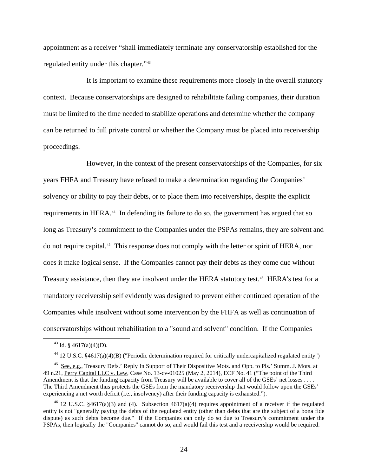appointment as a receiver "shall immediately terminate any conservatorship established for the regulated entity under this chapter."[43](#page-23-0)

It is important to examine these requirements more closely in the overall statutory context. Because conservatorships are designed to rehabilitate failing companies, their duration must be limited to the time needed to stabilize operations and determine whether the company can be returned to full private control or whether the Company must be placed into receivership proceedings.

However, in the context of the present conservatorships of the Companies, for six years FHFA and Treasury have refused to make a determination regarding the Companies' solvency or ability to pay their debts, or to place them into receiverships, despite the explicit requirements in HERA.<sup>[44](#page-23-1)</sup> In defending its failure to do so, the government has argued that so long as Treasury's commitment to the Companies under the PSPAs remains, they are solvent and do not require capital.[45](#page-23-2) This response does not comply with the letter or spirit of HERA, nor does it make logical sense. If the Companies cannot pay their debts as they come due without Treasury assistance, then they are insolvent under the HERA statutory test.<sup>46</sup> HERA's test for a mandatory receivership self evidently was designed to prevent either continued operation of the Companies while insolvent without some intervention by the FHFA as well as continuation of conservatorships without rehabilitation to a "sound and solvent" condition. If the Companies

 $43$  Id. § 4617(a)(4)(D).

<sup>44 12</sup> U.S.C. §4617(a)(4)(B) ("Periodic determination required for critically undercapitalized regulated entity")

<span id="page-23-2"></span><span id="page-23-1"></span><span id="page-23-0"></span><sup>&</sup>lt;sup>45</sup> See, e.g., Treasury Defs.' Reply In Support of Their Dispositive Mots. and Opp. to Pls.' Summ. J. Mots. at 49 n.21, Perry Capital LLC v. Lew, Case No. 13-cv-01025 (May 2, 2014), ECF No. 41 ("The point of the Third Amendment is that the funding capacity from Treasury will be available to cover all of the GSEs' net losses . . . . The Third Amendment thus protects the GSEs from the mandatory receivership that would follow upon the GSEs' experiencing a net worth deficit (i.e., insolvency) after their funding capacity is exhausted.").

<span id="page-23-3"></span><sup>&</sup>lt;sup>46</sup> 12 U.S.C. §4617(a)(3) and (4). Subsection 4617(a)(4) requires appointment of a receiver if the regulated entity is not "generally paying the debts of the regulated entity (other than debts that are the subject of a bona fide dispute) as such debts become due." If the Companies can only do so due to Treasury's commitment under the PSPAs, then logically the "Companies" cannot do so, and would fail this test and a receivership would be required.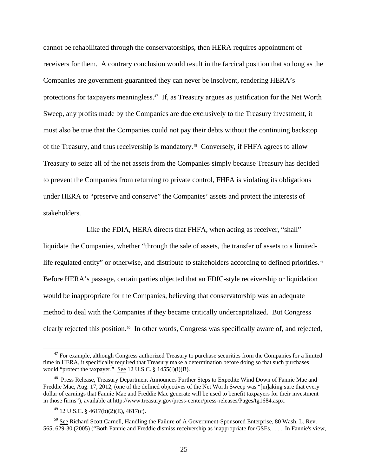cannot be rehabilitated through the conservatorships, then HERA requires appointment of receivers for them. A contrary conclusion would result in the farcical position that so long as the Companies are government-guaranteed they can never be insolvent, rendering HERA's protections for taxpayers meaningless.<sup>[47](#page-24-0)</sup> If, as Treasury argues as justification for the Net Worth Sweep, any profits made by the Companies are due exclusively to the Treasury investment, it must also be true that the Companies could not pay their debts without the continuing backstop of the Treasury, and thus receivership is mandatory.[48](#page-24-1) Conversely, if FHFA agrees to allow Treasury to seize all of the net assets from the Companies simply because Treasury has decided to prevent the Companies from returning to private control, FHFA is violating its obligations under HERA to "preserve and conserve" the Companies' assets and protect the interests of stakeholders.

Like the FDIA, HERA directs that FHFA, when acting as receiver, "shall" liquidate the Companies, whether "through the sale of assets, the transfer of assets to a limited-life regulated entity" or otherwise, and distribute to stakeholders according to defined priorities.<sup>[49](#page-24-2)</sup> Before HERA's passage, certain parties objected that an FDIC-style receivership or liquidation would be inappropriate for the Companies, believing that conservatorship was an adequate method to deal with the Companies if they became critically undercapitalized. But Congress clearly rejected this position.<sup>[50](#page-24-3)</sup> In other words, Congress was specifically aware of, and rejected,

<span id="page-24-0"></span> $47$  For example, although Congress authorized Treasury to purchase securities from the Companies for a limited time in HERA, it specifically required that Treasury make a determination before doing so that such purchases would "protect the taxpayer." See 12 U.S.C. § 1455(l)(i)(B).

<span id="page-24-1"></span><sup>&</sup>lt;sup>48</sup> Press Release, Treasury Department Announces Further Steps to Expedite Wind Down of Fannie Mae and Freddie Mac, Aug. 17, 2012, (one of the defined objectives of the Net Worth Sweep was "[m]aking sure that every dollar of earnings that Fannie Mae and Freddie Mac generate will be used to benefit taxpayers for their investment in those firms"), available at http://www.treasury.gov/press-center/press-releases/Pages/tg1684.aspx.

 $^{49}$  12 U.S.C. § 4617(b)(2)(E), 4617(c).

<span id="page-24-3"></span><span id="page-24-2"></span><sup>&</sup>lt;sup>50</sup> See Richard Scott Carnell, Handling the Failure of A Government-Sponsored Enterprise, 80 Wash. L. Rev. 565, 629-30 (2005) ("Both Fannie and Freddie dismiss receivership as inappropriate for GSEs. . . . In Fannie's view,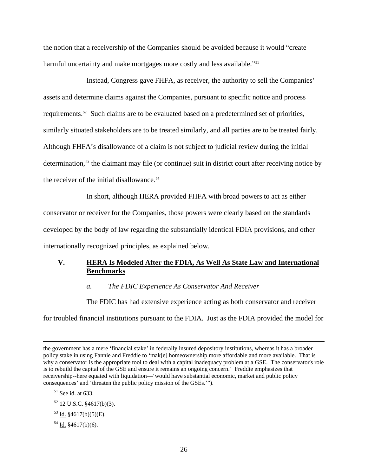the notion that a receivership of the Companies should be avoided because it would "create harmful uncertainty and make mortgages more costly and less available."<sup>[51](#page-25-0)</sup>

Instead, Congress gave FHFA, as receiver, the authority to sell the Companies' assets and determine claims against the Companies, pursuant to specific notice and process requirements.[52](#page-25-1) Such claims are to be evaluated based on a predetermined set of priorities, similarly situated stakeholders are to be treated similarly, and all parties are to be treated fairly. Although FHFA's disallowance of a claim is not subject to judicial review during the initial determination,<sup>[53](#page-25-2)</sup> the claimant may file (or continue) suit in district court after receiving notice by the receiver of the initial disallowance.<sup>[54](#page-25-3)</sup>

In short, although HERA provided FHFA with broad powers to act as either conservator or receiver for the Companies, those powers were clearly based on the standards developed by the body of law regarding the substantially identical FDIA provisions, and other internationally recognized principles, as explained below.

### **V. HERA Is Modeled After the FDIA, As Well As State Law and International Benchmarks**

#### *a. The FDIC Experience As Conservator And Receiver*

The FDIC has had extensive experience acting as both conservator and receiver

for troubled financial institutions pursuant to the FDIA. Just as the FDIA provided the model for

- <span id="page-25-2"></span> $53$  Id.  $$4617(b)(5)(E)$ .
- <span id="page-25-3"></span> $54$  Id. §4617(b)(6).

the government has a mere 'financial stake' in federally insured depository institutions, whereas it has a broader policy stake in using Fannie and Freddie to 'mak[e] homeownership more affordable and more available. That is why a conservator is the appropriate tool to deal with a capital inadequacy problem at a GSE. The conservator's role is to rebuild the capital of the GSE and ensure it remains an ongoing concern.' Freddie emphasizes that receivership--here equated with liquidation—'would have substantial economic, market and public policy consequences' and 'threaten the public policy mission of the GSEs.'").

<span id="page-25-0"></span> $51$  See id. at 633.

<span id="page-25-1"></span> $52$  12 U.S.C.  $$4617(b)(3)$ .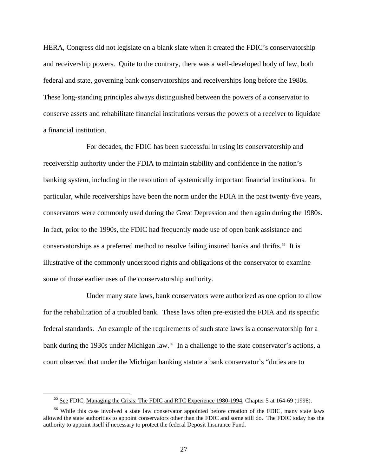HERA, Congress did not legislate on a blank slate when it created the FDIC's conservatorship and receivership powers. Quite to the contrary, there was a well-developed body of law, both federal and state, governing bank conservatorships and receiverships long before the 1980s. These long-standing principles always distinguished between the powers of a conservator to conserve assets and rehabilitate financial institutions versus the powers of a receiver to liquidate a financial institution.

For decades, the FDIC has been successful in using its conservatorship and receivership authority under the FDIA to maintain stability and confidence in the nation's banking system, including in the resolution of systemically important financial institutions. In particular, while receiverships have been the norm under the FDIA in the past twenty-five years, conservators were commonly used during the Great Depression and then again during the 1980s. In fact, prior to the 1990s, the FDIC had frequently made use of open bank assistance and conservatorships as a preferred method to resolve failing insured banks and thrifts.<sup>[55](#page-26-0)</sup> It is illustrative of the commonly understood rights and obligations of the conservator to examine some of those earlier uses of the conservatorship authority.

Under many state laws, bank conservators were authorized as one option to allow for the rehabilitation of a troubled bank. These laws often pre-existed the FDIA and its specific federal standards. An example of the requirements of such state laws is a conservatorship for a bank during the 1930s under Michigan law.<sup>[56](#page-26-1)</sup> In a challenge to the state conservator's actions, a court observed that under the Michigan banking statute a bank conservator's "duties are to

<sup>&</sup>lt;sup>55</sup> See FDIC, Managing the Crisis: The FDIC and RTC Experience 1980-1994, Chapter 5 at 164-69 (1998).

<span id="page-26-1"></span><span id="page-26-0"></span><sup>&</sup>lt;sup>56</sup> While this case involved a state law conservator appointed before creation of the FDIC, many state laws allowed the state authorities to appoint conservators other than the FDIC and some still do. The FDIC today has the authority to appoint itself if necessary to protect the federal Deposit Insurance Fund.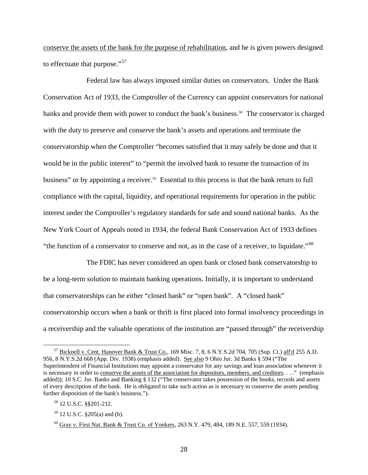conserve the assets of the bank for the purpose of rehabilitation, and he is given powers designed to effectuate that purpose."<sup>[57](#page-27-0)</sup>

Federal law has always imposed similar duties on conservators. Under the Bank Conservation Act of 1933, the Comptroller of the Currency can appoint conservators for national banks and provide them with power to conduct the bank's business.<sup>58</sup> The conservator is charged with the duty to preserve and conserve the bank's assets and operations and terminate the conservatorship when the Comptroller "becomes satisfied that it may safely be done and that it would be in the public interest" to "permit the involved bank to resume the transaction of its business" or by appointing a receiver.<sup>[59](#page-27-2)</sup> Essential to this process is that the bank return to full compliance with the capital, liquidity, and operational requirements for operation in the public interest under the Comptroller's regulatory standards for safe and sound national banks. As the New York Court of Appeals noted in 1934, the federal Bank Conservation Act of 1933 defines "the function of a conservator to conserve and not, as in the case of a receiver, to liquidate."<sup>[60](#page-27-3)</sup>

The FDIC has never considered an open bank or closed bank conservatorship to be a long-term solution to maintain banking operations. Initially, it is important to understand that conservatorships can be either "closed bank" or "open bank". A "closed bank" conservatorship occurs when a bank or thrift is first placed into formal insolvency proceedings in a receivership and the valuable operations of the institution are "passed through" the receivership

<span id="page-27-0"></span> $^{57}$  Bicknell v. Cent. Hanover Bank & Trust Co., 169 Misc. 7, 8, 6 N.Y.S.2d 704, 705 (Sup. Ct.) aff'd 255 A.D. 956, 8 N.Y.S.2d 668 (App. Div. 1938) (emphasis added). See also 9 Ohio Jur. 3d Banks § 594 ("The Superintendent of Financial Institutions may appoint a conservator for any savings and loan association whenever it is necessary in order to conserve the assets of the association for depositors, members, and creditors. . . ." (emphasis added)); 10 S.C. Jur. Banks and Banking § 132 ("The conservator takes possession of the books, records and assets of every description of the bank. He is obligated to take such action as is necessary to conserve the assets pending further disposition of the bank's business.").

<span id="page-27-1"></span><sup>58 12</sup> U.S.C. §§201-212.

<span id="page-27-2"></span><sup>59 12</sup> U.S.C. §205(a) and (b).

<span id="page-27-3"></span><sup>60</sup> Gray v. First Nat. Bank & Trust Co. of Yonkers, 263 N.Y. 479, 484, 189 N.E. 557, 559 (1934).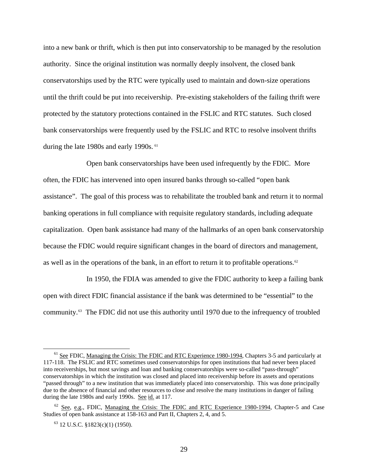into a new bank or thrift, which is then put into conservatorship to be managed by the resolution authority. Since the original institution was normally deeply insolvent, the closed bank conservatorships used by the RTC were typically used to maintain and down-size operations until the thrift could be put into receivership. Pre-existing stakeholders of the failing thrift were protected by the statutory protections contained in the FSLIC and RTC statutes. Such closed bank conservatorships were frequently used by the FSLIC and RTC to resolve insolvent thrifts during the late 1980s and early 1990s. <sup>[61](#page-28-0)</sup>

Open bank conservatorships have been used infrequently by the FDIC. More often, the FDIC has intervened into open insured banks through so-called "open bank assistance". The goal of this process was to rehabilitate the troubled bank and return it to normal banking operations in full compliance with requisite regulatory standards, including adequate capitalization. Open bank assistance had many of the hallmarks of an open bank conservatorship because the FDIC would require significant changes in the board of directors and management, as well as in the operations of the bank, in an effort to return it to profitable operations.<sup>[62](#page-28-1)</sup>

In 1950, the FDIA was amended to give the FDIC authority to keep a failing bank open with direct FDIC financial assistance if the bank was determined to be "essential" to the community.[63](#page-28-2) The FDIC did not use this authority until 1970 due to the infrequency of troubled

<span id="page-28-0"></span><sup>&</sup>lt;sup>61</sup> See FDIC, Managing the Crisis: The FDIC and RTC Experience 1980-1994, Chapters 3-5 and particularly at 117-118. The FSLIC and RTC sometimes used conservatorships for open institutions that had never been placed into receiverships, but most savings and loan and banking conservatorships were so-called "pass-through" conservatorships in which the institution was closed and placed into receivership before its assets and operations "passed through" to a new institution that was immediately placed into conservatorship. This was done principally due to the absence of financial and other resources to close and resolve the many institutions in danger of failing during the late 1980s and early 1990s. See id. at 117.

<span id="page-28-2"></span><span id="page-28-1"></span> $62$  See, e.g., FDIC, Managing the Crisis: The FDIC and RTC Experience 1980-1994, Chapter-5 and Case Studies of open bank assistance at 158-163 and Part II, Chapters 2, 4, and 5.

 $63$  12 U.S.C. §1823(c)(1) (1950).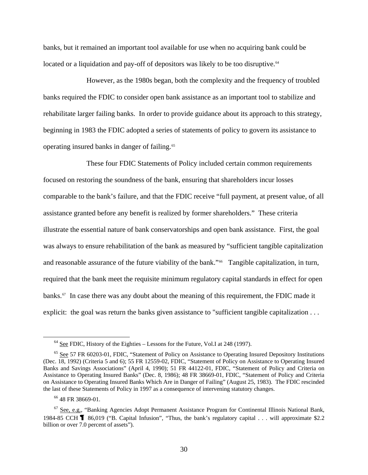banks, but it remained an important tool available for use when no acquiring bank could be located or a liquidation and pay-off of depositors was likely to be too disruptive.<sup>[64](#page-29-0)</sup>

However, as the 1980s began, both the complexity and the frequency of troubled banks required the FDIC to consider open bank assistance as an important tool to stabilize and rehabilitate larger failing banks. In order to provide guidance about its approach to this strategy, beginning in 1983 the FDIC adopted a series of statements of policy to govern its assistance to operating insured banks in danger of failing.<sup>[65](#page-29-1)</sup>

These four FDIC Statements of Policy included certain common requirements focused on restoring the soundness of the bank, ensuring that shareholders incur losses comparable to the bank's failure, and that the FDIC receive "full payment, at present value, of all assistance granted before any benefit is realized by former shareholders." These criteria illustrate the essential nature of bank conservatorships and open bank assistance. First, the goal was always to ensure rehabilitation of the bank as measured by "sufficient tangible capitalization and reasonable assurance of the future viability of the bank."<sup>[66](#page-29-2)</sup> Tangible capitalization, in turn, required that the bank meet the requisite minimum regulatory capital standards in effect for open banks. $67$  In case there was any doubt about the meaning of this requirement, the FDIC made it explicit: the goal was return the banks given assistance to "sufficient tangible capitalization ...

 $64$  See FDIC, History of the Eighties – Lessons for the Future, Vol.I at 248 (1997).

<span id="page-29-1"></span><span id="page-29-0"></span><sup>&</sup>lt;sup>65</sup> See 57 FR 60203-01, FDIC, "Statement of Policy on Assistance to Operating Insured Depository Institutions (Dec. 18, 1992) (Criteria 5 and 6); 55 FR 12559-02, FDIC, "Statement of Policy on Assistance to Operating Insured Banks and Savings Associations" (April 4, 1990); 51 FR 44122-01, FDIC, "Statement of Policy and Criteria on Assistance to Operating Insured Banks" (Dec. 8, 1986); 48 FR 38669-01, FDIC, "Statement of Policy and Criteria on Assistance to Operating Insured Banks Which Are in Danger of Failing" (August 25, 1983). The FDIC rescinded the last of these Statements of Policy in 1997 as a consequence of intervening statutory changes.

<sup>&</sup>lt;sup>66</sup> 48 FR 38669-01.

<span id="page-29-3"></span><span id="page-29-2"></span> $67$  See, e.g., "Banking Agencies Adopt Permanent Assistance Program for Continental Illinois National Bank, 1984-85 CCH 86,019 ("B. Capital Infusion", "Thus, the bank's regulatory capital . . . will approximate \$2.2 billion or over 7.0 percent of assets").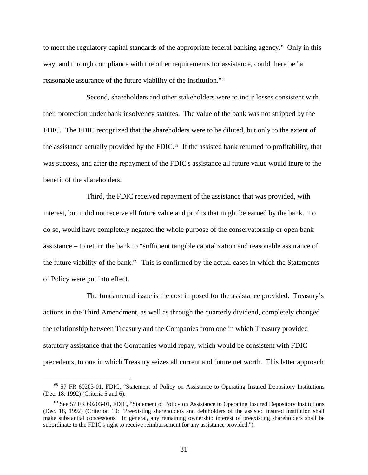to meet the regulatory capital standards of the appropriate federal banking agency." Only in this way, and through compliance with the other requirements for assistance, could there be "a reasonable assurance of the future viability of the institution."[68](#page-30-0)

Second, shareholders and other stakeholders were to incur losses consistent with their protection under bank insolvency statutes. The value of the bank was not stripped by the FDIC. The FDIC recognized that the shareholders were to be diluted, but only to the extent of the assistance actually provided by the FDIC. $69$  If the assisted bank returned to profitability, that was success, and after the repayment of the FDIC's assistance all future value would inure to the benefit of the shareholders.

Third, the FDIC received repayment of the assistance that was provided, with interest, but it did not receive all future value and profits that might be earned by the bank. To do so, would have completely negated the whole purpose of the conservatorship or open bank assistance – to return the bank to "sufficient tangible capitalization and reasonable assurance of the future viability of the bank." This is confirmed by the actual cases in which the Statements of Policy were put into effect.

The fundamental issue is the cost imposed for the assistance provided. Treasury's actions in the Third Amendment, as well as through the quarterly dividend, completely changed the relationship between Treasury and the Companies from one in which Treasury provided statutory assistance that the Companies would repay, which would be consistent with FDIC precedents, to one in which Treasury seizes all current and future net worth. This latter approach

<span id="page-30-0"></span> <sup>68 57</sup> FR 60203-01, FDIC, "Statement of Policy on Assistance to Operating Insured Depository Institutions (Dec. 18, 1992) (Criteria 5 and 6).

<span id="page-30-1"></span><sup>&</sup>lt;sup>69</sup> See 57 FR 60203-01, FDIC, "Statement of Policy on Assistance to Operating Insured Depository Institutions (Dec. 18, 1992) (Criterion 10: "Preexisting shareholders and debtholders of the assisted insured institution shall make substantial concessions. In general, any remaining ownership interest of preexisting shareholders shall be subordinate to the FDIC's right to receive reimbursement for any assistance provided.").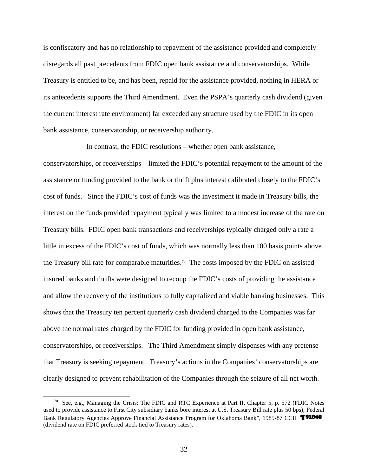is confiscatory and has no relationship to repayment of the assistance provided and completely disregards all past precedents from FDIC open bank assistance and conservatorships. While Treasury is entitled to be, and has been, repaid for the assistance provided, nothing in HERA or its antecedents supports the Third Amendment. Even the PSPA's quarterly cash dividend (given the current interest rate environment) far exceeded any structure used by the FDIC in its open bank assistance, conservatorship, or receivership authority.

In contrast, the FDIC resolutions – whether open bank assistance, conservatorships, or receiverships – limited the FDIC's potential repayment to the amount of the assistance or funding provided to the bank or thrift plus interest calibrated closely to the FDIC's cost of funds. Since the FDIC's cost of funds was the investment it made in Treasury bills, the interest on the funds provided repayment typically was limited to a modest increase of the rate on Treasury bills. FDIC open bank transactions and receiverships typically charged only a rate a little in excess of the FDIC's cost of funds, which was normally less than 100 basis points above the Treasury bill rate for comparable maturities.<sup>[70](#page-31-0)</sup> The costs imposed by the FDIC on assisted insured banks and thrifts were designed to recoup the FDIC's costs of providing the assistance and allow the recovery of the institutions to fully capitalized and viable banking businesses. This shows that the Treasury ten percent quarterly cash dividend charged to the Companies was far above the normal rates charged by the FDIC for funding provided in open bank assistance, conservatorships, or receiverships. The Third Amendment simply dispenses with any pretense that Treasury is seeking repayment. Treasury's actions in the Companies' conservatorships are clearly designed to prevent rehabilitation of the Companies through the seizure of all net worth.

<span id="page-31-0"></span><sup>&</sup>lt;sup>70</sup> See, e.g., Managing the Crisis: The FDIC and RTC Experience at Part II, Chapter 5, p. 572 (FDIC Notes used to provide assistance to First City subsidiary banks bore interest at U.S. Treasury Bill rate plus 50 bps); Federal Bank Regulatory Agencies Approve Financial Assistance Program for Oklahoma Bank", 1985-87 CCH **1918-10** (dividend rate on FDIC preferred stock tied to Treasury rates).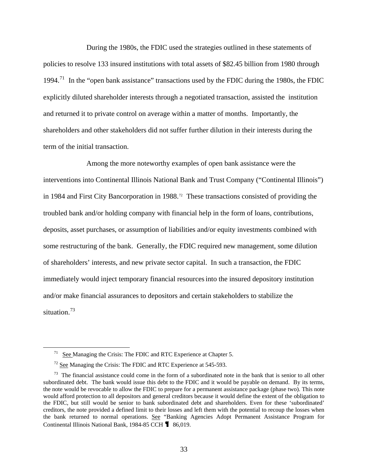During the 1980s, the FDIC used the strategies outlined in these statements of policies to resolve 133 insured institutions with total assets of \$82.45 billion from 1980 through 1994.<sup>[71](#page-32-0)</sup> In the "open bank assistance" transactions used by the FDIC during the 1980s, the FDIC explicitly diluted shareholder interests through a negotiated transaction, assisted the institution and returned it to private control on average within a matter of months. Importantly, the shareholders and other stakeholders did not suffer further dilution in their interests during the term of the initial transaction.

Among the more noteworthy examples of open bank assistance were the interventions into Continental Illinois National Bank and Trust Company ("Continental Illinois") in 1984 and First City Bancorporation in 1988.<sup>[72](#page-32-1)</sup> These transactions consisted of providing the troubled bank and/or holding company with financial help in the form of loans, contributions, deposits, asset purchases, or assumption of liabilities and/or equity investments combined with some restructuring of the bank. Generally, the FDIC required new management, some dilution of shareholders' interests, and new private sector capital. In such a transaction, the FDIC immediately would inject temporary financial resourcesinto the insured depository institution and/or make financial assurances to depositors and certain stakeholders to stabilize the situation.<sup>[73](#page-32-2)</sup>

See Managing the Crisis: The FDIC and RTC Experience at Chapter 5.

 $72$  See Managing the Crisis: The FDIC and RTC Experience at 545-593.

<span id="page-32-2"></span><span id="page-32-1"></span><span id="page-32-0"></span> $73$  The financial assistance could come in the form of a subordinated note in the bank that is senior to all other subordinated debt. The bank would issue this debt to the FDIC and it would be payable on demand. By its terms, the note would be revocable to allow the FDIC to prepare for a permanent assistance package (phase two). This note would afford protection to all depositors and general creditors because it would define the extent of the obligation to the FDIC, but still would be senior to bank subordinated debt and shareholders. Even for these 'subordinated' creditors, the note provided a defined limit to their losses and left them with the potential to recoup the losses when the bank returned to normal operations. See "Banking Agencies Adopt Permanent Assistance Program for Continental Illinois National Bank, 1984-85 CCH **1** 86,019.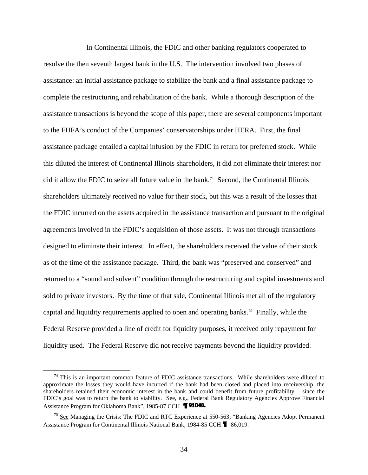In Continental Illinois, the FDIC and other banking regulators cooperated to resolve the then seventh largest bank in the U.S. The intervention involved two phases of assistance: an initial assistance package to stabilize the bank and a final assistance package to complete the restructuring and rehabilitation of the bank. While a thorough description of the assistance transactions is beyond the scope of this paper, there are several components important to the FHFA's conduct of the Companies' conservatorships under HERA. First, the final assistance package entailed a capital infusion by the FDIC in return for preferred stock. While this diluted the interest of Continental Illinois shareholders, it did not eliminate their interest nor did it allow the FDIC to seize all future value in the bank.<sup>[74](#page-33-0)</sup> Second, the Continental Illinois shareholders ultimately received no value for their stock, but this was a result of the losses that the FDIC incurred on the assets acquired in the assistance transaction and pursuant to the original agreements involved in the FDIC's acquisition of those assets. It was not through transactions designed to eliminate their interest. In effect, the shareholders received the value of their stock as of the time of the assistance package. Third, the bank was "preserved and conserved" and returned to a "sound and solvent" condition through the restructuring and capital investments and sold to private investors. By the time of that sale, Continental Illinois met all of the regulatory capital and liquidity requirements applied to open and operating banks.[75](#page-33-1) Finally, while the Federal Reserve provided a line of credit for liquidity purposes, it received only repayment for liquidity used. The Federal Reserve did not receive payments beyond the liquidity provided.

<span id="page-33-0"></span> $74$  This is an important common feature of FDIC assistance transactions. While shareholders were diluted to approximate the losses they would have incurred if the bank had been closed and placed into receivership, the shareholders retained their economic interest in the bank and could benefit from future profitability – since the FDIC's goal was to return the bank to viability. See, e.g., Federal Bank Regulatory Agencies Approve Financial Assistance Program for Oklahoma Bank", 1985-87 CCH **TELO40.** 

<span id="page-33-1"></span> $75$  See Managing the Crisis: The FDIC and RTC Experience at 550-563; "Banking Agencies Adopt Permanent Assistance Program for Continental Illinois National Bank, 1984-85 CCH **1** 86,019.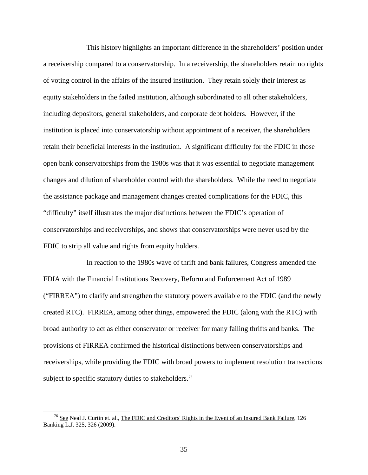This history highlights an important difference in the shareholders' position under a receivership compared to a conservatorship. In a receivership, the shareholders retain no rights of voting control in the affairs of the insured institution. They retain solely their interest as equity stakeholders in the failed institution, although subordinated to all other stakeholders, including depositors, general stakeholders, and corporate debt holders. However, if the institution is placed into conservatorship without appointment of a receiver, the shareholders retain their beneficial interests in the institution. A significant difficulty for the FDIC in those open bank conservatorships from the 1980s was that it was essential to negotiate management changes and dilution of shareholder control with the shareholders. While the need to negotiate the assistance package and management changes created complications for the FDIC, this "difficulty" itself illustrates the major distinctions between the FDIC's operation of conservatorships and receiverships, and shows that conservatorships were never used by the FDIC to strip all value and rights from equity holders.

In reaction to the 1980s wave of thrift and bank failures, Congress amended the FDIA with the Financial Institutions Recovery, Reform and Enforcement Act of 1989 ("FIRREA") to clarify and strengthen the statutory powers available to the FDIC (and the newly created RTC). FIRREA, among other things, empowered the FDIC (along with the RTC) with broad authority to act as either conservator or receiver for many failing thrifts and banks. The provisions of FIRREA confirmed the historical distinctions between conservatorships and receiverships, while providing the FDIC with broad powers to implement resolution transactions subject to specific statutory duties to stakeholders.<sup>[76](#page-34-0)</sup>

<span id="page-34-0"></span><sup>&</sup>lt;sup>76</sup> See Neal J. Curtin et. al., The FDIC and Creditors' Rights in the Event of an Insured Bank Failure, 126 Banking L.J. 325, 326 (2009).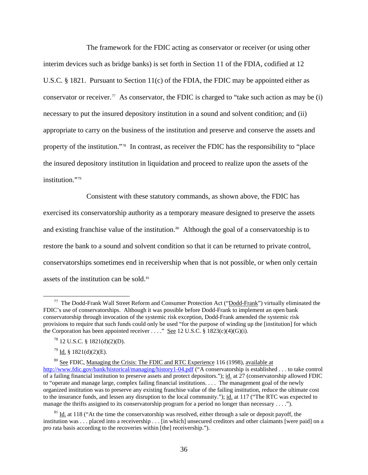The framework for the FDIC acting as conservator or receiver (or using other interim devices such as bridge banks) is set forth in Section 11 of the FDIA, codified at 12 U.S.C. § 1821. Pursuant to Section 11(c) of the FDIA, the FDIC may be appointed either as conservator or receiver.<sup>[77](#page-35-0)</sup> As conservator, the FDIC is charged to "take such action as may be (i) necessary to put the insured depository institution in a sound and solvent condition; and (ii) appropriate to carry on the business of the institution and preserve and conserve the assets and property of the institution."[78](#page-35-1) In contrast, as receiver the FDIC has the responsibility to "place the insured depository institution in liquidation and proceed to realize upon the assets of the institution.["79](#page-35-2)

Consistent with these statutory commands, as shown above, the FDIC has exercised its conservatorship authority as a temporary measure designed to preserve the assets and existing franchise value of the institution.<sup>[80](#page-35-3)</sup> Although the goal of a conservatorship is to restore the bank to a sound and solvent condition so that it can be returned to private control, conservatorships sometimes end in receivership when that is not possible, or when only certain assets of the institution can be sold. $81$ 

<span id="page-35-0"></span> $77$  The Dodd-Frank Wall Street Reform and Consumer Protection Act ("Dodd-Frank") virtually eliminated the FDIC's use of conservatorships. Although it was possible before Dodd-Frank to implement an open bank conservatorship through invocation of the systemic risk exception, Dodd-Frank amended the systemic risk provisions to require that such funds could only be used "for the purpose of winding up the [institution] for which the Corporation has been appointed receiver . . . ." See 12 U.S.C.  $\S$  1823(c)(4)(G)(i).

<sup>78 12</sup> U.S.C. § 1821(d)(2)(D).

 $79$  Id. § 1821(d)(2)(E).

<span id="page-35-3"></span><span id="page-35-2"></span><span id="page-35-1"></span><sup>80</sup> See FDIC, Managing the Crisis: The FDIC and RTC Experience 116 (1998), available at <http://www.fdic.gov/bank/historical/managing/history1-04.pdf> ("A conservatorship is established . . . to take control of a failing financial institution to preserve assets and protect depositors."); id. at 27 (conservatorship allowed FDIC to "operate and manage large, complex failing financial institutions. . . . The management goal of the newly organized institution was to preserve any existing franchise value of the failing institution, reduce the ultimate cost to the insurance funds, and lessen any disruption to the local community."); id. at 117 ("The RTC was expected to manage the thrifts assigned to its conservatorship program for a period no longer than necessary . . . .").

<span id="page-35-4"></span> $81$  Id. at 118 ("At the time the conservatorship was resolved, either through a sale or deposit payoff, the institution was . . . placed into a receivership . . . [in which] unsecured creditors and other claimants [were paid] on a pro rata basis according to the recoveries within [the] receivership.").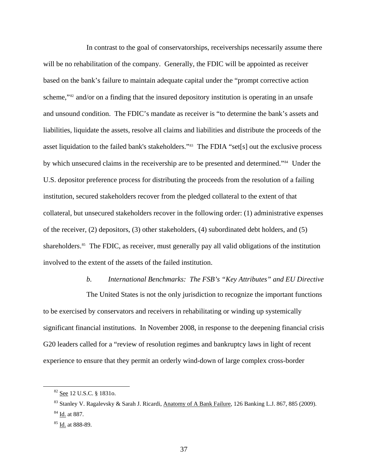In contrast to the goal of conservatorships, receiverships necessarily assume there will be no rehabilitation of the company. Generally, the FDIC will be appointed as receiver based on the bank's failure to maintain adequate capital under the "prompt corrective action scheme,"<sup>[82](#page-36-0)</sup> and/or on a finding that the insured depository institution is operating in an unsafe and unsound condition. The FDIC's mandate as receiver is "to determine the bank's assets a nd liabilities, liquidate the assets, resolve all claims and liabilities and distribute the proceeds of the asset liquidation to the failed bank's stakeholders." [83](#page-36-1) The FDIA "set[s] out the exclusive process by which unsecured claims in the receivership are to be presented and determined."<sup>[84](#page-36-2)</sup> Under the U.S. depositor preference process for distributing the proceeds from the resolution of a failing institution, secured stakeholders recover from the pledged collateral to the extent of that collateral, but unsecured stakeholders recover in the following order: (1) administrative expenses of the receiver, (2) depositors, (3) other stakeholders, (4) subordinated debt holders, and (5) shareholders.<sup>[85](#page-36-3)</sup> The FDIC, as receiver, must generally pay all valid obligations of the institution involved to the extent of the assets of the failed institution.

#### *b. International Benchmarks: The FSB's "Key Attributes" and EU Directive*

The United States is not the only jurisdiction to recognize the important functions to be exercised by conservators and receivers in rehabilitating or winding up systemically significant financial institutions. In November 2008, in response to the deepening financial crisis G20 leaders called for a "review of resolution regimes and bankruptcy laws in light of recent experience to ensure that they permit an orderly wind-down of large complex cross-border

<span id="page-36-2"></span><span id="page-36-1"></span><span id="page-36-0"></span> $\overline{a}$ 

<sup>82</sup> See 12 U.S.C. § 1831o.

<sup>83</sup> Stanley V. Ragalevsky & Sarah J. Ricardi, Anatomy of A Bank Failure, 126 Banking L.J. 867, 885 (2009). <sup>84</sup> Id. at 887.

<span id="page-36-3"></span><sup>&</sup>lt;sup>85</sup> Id. at 888-89.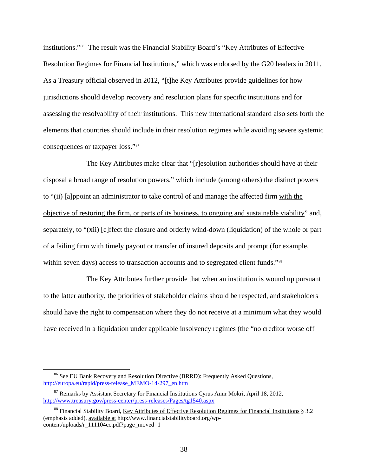institutions."[86](#page-37-0) The result was the Financial Stability Board's "Key Attributes of Effective Resolution Regimes for Financial Institutions," which was endorsed by the G20 leaders in 2011. As a Treasury official observed in 2012, "[t]he Key Attributes provide guidelines for how jurisdictions should develop recovery and resolution plans for specific institutions and for assessing the resolvability of their institutions. This new international standard also sets forth the elements that countries should include in their resolution regimes while avoiding severe systemic consequences or taxpayer loss."[87](#page-37-1)

The Key Attributes make clear that "[r]esolution authorities should have at their disposal a broad range of resolution powers," which include (among others) the distinct powers to "(ii) [a]ppoint an administrator to take control of and manage the affected firm with the objective of restoring the firm, or parts of its business, to ongoing and sustainable viability" and, separately, to "(xii) [e]ffect the closure and orderly wind-down (liquidation) of the whole or part of a failing firm with timely payout or transfer of insured deposits and prompt (for example, within seven days) access to transaction accounts and to segregated client funds."<sup>[88](#page-37-2)</sup>

The Key Attributes further provide that when an institution is wound up pursuant to the latter authority, the priorities of stakeholder claims should be respected, and stakeholders should have the right to compensation where they do not receive at a minimum what they would have received in a liquidation under applicable insolvency regimes (the "no creditor worse off

<span id="page-37-0"></span><sup>&</sup>lt;sup>86</sup> See EU Bank Recovery and Resolution Directive (BRRD): Frequently Asked Questions, [http://europa.eu/rapid/press-release\\_MEMO-14-297\\_en.htm](http://europa.eu/rapid/press-release_MEMO-14-297_en.htm)

<span id="page-37-1"></span> $87$  Remarks by Assistant Secretary for Financial Institutions Cyrus Amir Mokri, April 18, 2012, <http://www.treasury.gov/press-center/press-releases/Pages/tg1540.aspx>

<span id="page-37-2"></span><sup>88</sup> Financial Stability Board, Key Attributes of Effective Resolution Regimes for Financial Institutions § 3.2 (emphasis added), available at http://www.financialstabilityboard.org/wpcontent/uploads/r\_111104cc.pdf?page\_moved=1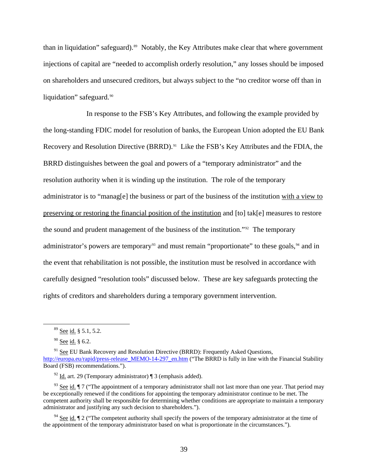than in liquidation" safeguard).<sup>[89](#page-38-0)</sup> Notably, the Key Attributes make clear that where government injections of capital are "needed to accomplish orderly resolution," any losses should be imposed on shareholders and unsecured creditors, but always subject to the "no creditor worse off than in liquidation" safeguard.<sup>[90](#page-38-1)</sup>

In response to the FSB's Key Attributes, and following the example provided by the long-standing FDIC model for resolution of banks, the European Union adopted the EU Bank Recovery and Resolution Directive (BRRD).<sup>[91](#page-38-2)</sup> Like the FSB's Key Attributes and the FDIA, the BRRD distinguishes between the goal and powers of a "temporary administrator" and the resolution authority when it is winding up the institution. The role of the temporary administrator is to "manag[e] the business or part of the business of the institution with a view to preserving or restoring the financial position of the institution and [to] tak[e] measures to restore the sound and prudent management of the business of the institution."<sup>[92](#page-38-3)</sup> The temporary administrator's powers are temporary<sup>[93](#page-38-4)</sup> and must remain "proportionate" to these goals,  $94$  and in the event that rehabilitation is not possible, the institution must be resolved in accordance with carefully designed "resolution tools" discussed below. These are key safeguards protecting the rights of creditors and shareholders during a temporary government intervention.

 <sup>89</sup> See id. § 5.1, 5.2.

 $90$  See id. § 6.2.

<span id="page-38-2"></span><span id="page-38-1"></span><span id="page-38-0"></span><sup>&</sup>lt;sup>91</sup> See EU Bank Recovery and Resolution Directive (BRRD): Frequently Asked Questions, [http://europa.eu/rapid/press-release\\_MEMO-14-297\\_en.htm](http://europa.eu/rapid/press-release_MEMO-14-297_en.htm) ("The BRRD is fully in line with the Financial Stability Board (FSB) recommendations.").

 $\frac{92}{10}$  Id. art. 29 (Temporary administrator) | 3 (emphasis added).

<span id="page-38-4"></span><span id="page-38-3"></span><sup>&</sup>lt;sup>93</sup> See id.  $\P$  7 ("The appointment of a temporary administrator shall not last more than one year. That period may be exceptionally renewed if the conditions for appointing the temporary administrator continue to be met. The competent authority shall be responsible for determining whether conditions are appropriate to maintain a temporary administrator and justifying any such decision to shareholders.").

<span id="page-38-5"></span><sup>&</sup>lt;sup>94</sup> See id.  $\P$  2 ("The competent authority shall specify the powers of the temporary administrator at the time of the appointment of the temporary administrator based on what is proportionate in the circumstances.").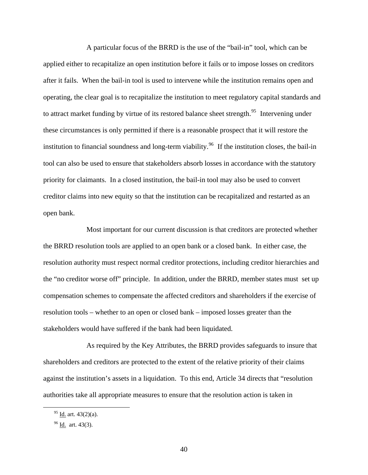A particular focus of the BRRD is the use of the "bail-in" tool, which can be applied either to recapitalize an open institution before it fails or to impose losses on creditors after it fails. When the bail-in tool is used to intervene while the institution remains open and operating, the clear goal is to recapitalize the institution to meet regulatory capital standards and to attract market funding by virtue of its restored balance sheet strength.<sup>[95](#page-39-0)</sup> Intervening under these circumstances is only permitted if there is a reasonable prospect that it will restore the institution to financial soundness and long-term viability.<sup>[96](#page-39-1)</sup> If the institution closes, the bail-in tool can also be used to ensure that stakeholders absorb losses in accordance with the statutory priority for claimants. In a closed institution, the bail-in tool may also be used to convert creditor claims into new equity so that the institution can be recapitalized and restarted as an open bank.

Most important for our current discussion is that creditors are protected whether the BRRD resolution tools are applied to an open bank or a closed bank. In either case, the resolution authority must respect normal creditor protections, including creditor hierarchies and the "no creditor worse off" principle. In addition, under the BRRD, member states must set up compensation schemes to compensate the affected creditors and shareholders if the exercise of resolution tools – whether to an open or closed bank – imposed losses greater than the stakeholders would have suffered if the bank had been liquidated.

As required by the Key Attributes, the BRRD provides safeguards to insure that shareholders and creditors are protected to the extent of the relative priority of their claims against the institution's assets in a liquidation. To this end, Article 34 directs that "resolution authorities take all appropriate measures to ensure that the resolution action is taken in

<span id="page-39-0"></span> $95$  Id. art. 43(2)(a).

<span id="page-39-1"></span> $96$  Id. art. 43(3).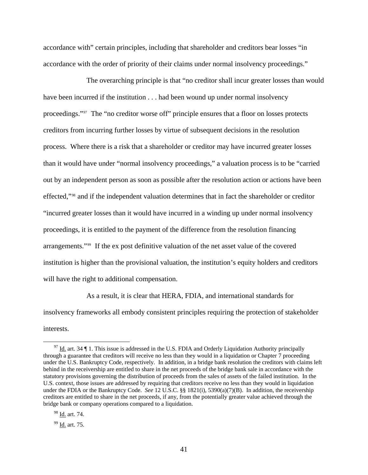accordance with" certain principles, including that shareholder and creditors bear losses "in accordance with the order of priority of their claims under normal insolvency proceedings."

The overarching principle is that "no creditor shall incur greater losses than would have been incurred if the institution . . . had been wound up under normal insolvency proceedings."[97](#page-40-0) The "no creditor worse off" principle ensures that a floor on losses protects creditors from incurring further losses by virtue of subsequent decisions in the resolution process. Where there is a risk that a shareholder or creditor may have incurred greater losses than it would have under "normal insolvency proceedings," a valuation process is to be "carried out by an independent person as soon as possible after the resolution action or actions have been effected,"[98](#page-40-1) and if the independent valuation determines that in fact the shareholder or creditor "incurred greater losses than it would have incurred in a winding up under normal insolvency proceedings, it is entitled to the payment of the difference from the resolution financing arrangements."[99](#page-40-2) If the ex post definitive valuation of the net asset value of the covered institution is higher than the provisional valuation, the institution's equity holders and creditors will have the right to additional compensation.

As a result, it is clear that HERA, FDIA, and international standards for insolvency frameworks all embody consistent principles requiring the protection of stakeholder interests.

<span id="page-40-0"></span> $97$  Id. art. 34  $\P$  1. This issue is addressed in the U.S. FDIA and Orderly Liquidation Authority principally through a guarantee that creditors will receive no less than they would in a liquidation or Chapter 7 proceeding under the U.S. Bankruptcy Code, respectively. In addition, in a bridge bank resolution the creditors with claims left behind in the receivership are entitled to share in the net proceeds of the bridge bank sale in accordance with the statutory provisions governing the distribution of proceeds from the sales of assets of the failed institution. In the U.S. context, those issues are addressed by requiring that creditors receive no less than they would in liquidation under the FDIA or the Bankruptcy Code. *See* 12 U.S.C. §§ 1821(i), 5390(a)(7)(B). In addition, the receivership creditors are entitled to share in the net proceeds, if any, from the potentially greater value achieved through the bridge bank or company operations compared to a liquidation.

<span id="page-40-1"></span><sup>98</sup> Id. art. 74.

<span id="page-40-2"></span><sup>99</sup> Id. art. 75.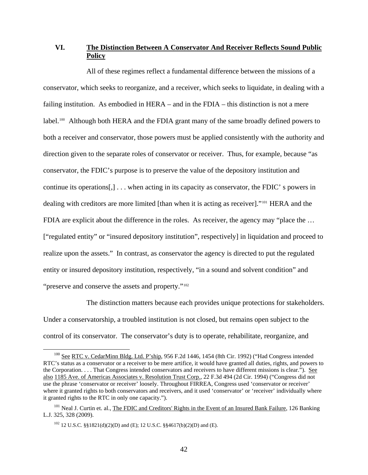## **VI. The Distinction Between A Conservator And Receiver Reflects Sound Public Policy**

All of these regimes reflect a fundamental difference between the missions of a conservator, which seeks to reorganize, and a receiver, which seeks to liquidate, in dealing with a failing institution. As embodied in HERA – and in the FDIA – this distinction is not a mere label.<sup>[100](#page-41-0)</sup> Although both HERA and the FDIA grant many of the same broadly defined powers to both a receiver and conservator, those powers must be applied consistently with the authority and direction given to the separate roles of conservator or receiver. Thus, for example, because "as conservator, the FDIC's purpose is to preserve the value of the depository institution and continue its operations[,] . . . when acting in its capacity as conservator, the FDIC' s powers in dealing with creditors are more limited [than when it is acting as receiver]."<sup>[101](#page-41-1)</sup> HERA and the FDIA are explicit about the difference in the roles. As receiver, the agency may "place the ... ["regulated entity" or "insured depository institution", respectively] in liquidation and proceed to realize upon the assets." In contrast, as conservator the agency is directed to put the regulated entity or insured depository institution, respectively, "in a sound and solvent condition" and "preserve and conserve the assets and property."<sup>[102](#page-41-2)</sup>

The distinction matters because each provides unique protections for stakeholders. Under a conservatorship, a troubled institution is not closed, but remains open subject to the control of its conservator. The conservator's duty is to operate, rehabilitate, reorganize, and

<span id="page-41-0"></span><sup>&</sup>lt;sup>100</sup> See RTC v. CedarMinn Bldg. Ltd. P'ship, 956 F.2d 1446, 1454 (8th Cir. 1992) ("Had Congress intended RTC's status as a conservator or a receiver to be mere artifice, it would have granted all duties, rights, and powers to the Corporation. . . . That Congress intended conservators and receivers to have different missions is clear."). See also 1185 Ave. of Americas Associates v. Resolution Trust Corp., 22 F.3d 494 (2d Cir. 1994) ("Congress did not use the phrase 'conservator or receiver' loosely. Throughout FIRREA, Congress used 'conservator or receiver' where it granted rights to both conservators and receivers, and it used 'conservator' or 'receiver' individually where it granted rights to the RTC in only one capacity.").

<span id="page-41-2"></span><span id="page-41-1"></span><sup>&</sup>lt;sup>101</sup> Neal J. Curtin et. al., The FDIC and Creditors' Rights in the Event of an Insured Bank Failure, 126 Banking L.J. 325, 328 (2009).

<sup>102 12</sup> U.S.C. §§1821(d)(2)(D) and (E); 12 U.S.C. §§4617(b)(2)(D) and (E).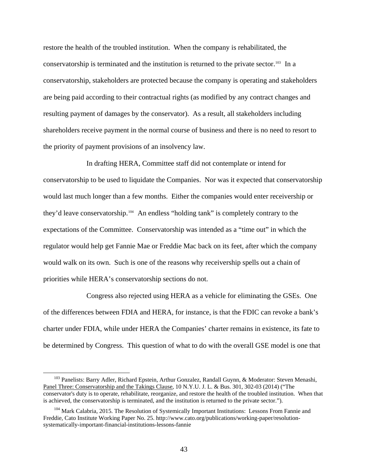restore the health of the troubled institution. When the company is rehabilitated, the conservatorship is terminated and the institution is returned to the private sector[.103](#page-42-0) In a conservatorship, stakeholders are protected because the company is operating and stakeholders are being paid according to their contractual rights (as modified by any contract changes and resulting payment of damages by the conservator). As a result, all stakeholders including shareholders receive payment in the normal course of business and there is no need to resort to the priority of payment provisions of an insolvency law.

In drafting HERA, Committee staff did not contemplate or intend for conservatorship to be used to liquidate the Companies. Nor was it expected that conservatorship would last much longer than a few months. Either the companies would enter receivership or they'd leave conservatorship.[104](#page-42-1) An endless "holding tank" is completely contrary to the expectations of the Committee. Conservatorship was intended as a "time out" in which the regulator would help get Fannie Mae or Freddie Mac back on its feet, after which the company would walk on its own. Such is one of the reasons why receivership spells out a chain of priorities while HERA's conservatorship sections do not.

Congress also rejected using HERA as a vehicle for eliminating the GSEs. One of the differences between FDIA and HERA, for instance, is that the FDIC can revoke a bank's charter under FDIA, while under HERA the Companies' charter remains in existence, its fate to be determined by Congress. This question of what to do with the overall GSE model is one that

<span id="page-42-0"></span><sup>&</sup>lt;sup>103</sup> Panelists: Barry Adler, Richard Epstein, Arthur Gonzalez, Randall Guynn, & Moderator: Steven Menashi, Panel Three: Conservatorship and the Takings Clause, 10 N.Y.U. J. L. & Bus. 301, 302-03 (2014) ("The conservator's duty is to operate, rehabilitate, reorganize, and restore the health of the troubled institution. When that is achieved, the conservatorship is terminated, and the institution is returned to the private sector.").

<span id="page-42-1"></span><sup>&</sup>lt;sup>104</sup> Mark Calabria, 2015. The Resolution of Systemically Important Institutions: Lessons From Fannie and Freddie, Cato Institute Working Paper No. 25. http://www.cato.org/publications/working-paper/resolutionsystematically-important-financial-institutions-lessons-fannie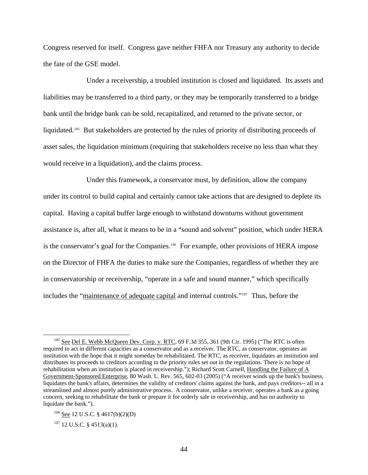Congress reserved for itself. Congress gave neither FHFA nor Treasury any authority to decide the fate of the GSE model.

Under a receivership, a troubled institution is closed and liquidated. Its assets and liabilities may be transferred to a third party, or they may be temporarily transferred to a bridge bank until the bridge bank can be sold, recapitalized, and returned to the private sector, or liquidated.<sup>105</sup> But stakeholders are protected by the rules of priority of distributing proceeds of asset sales, the liquidation minimum (requiring that stakeholders receive no less than what they would receive in a liquidation), and the claims process.

Under this framework, a conservator must, by definition, allow the company under its control to build capital and certainly cannot take actions that are designed to deplete its capital. Having a capital buffer large enough to withstand downturns without government assistance is, after all, what it means to be in a "sound and solvent" position, which under HERA is the conservator's goal for the Companies.<sup>[106](#page-43-1)</sup> For example, other provisions of HERA impose on the Director of FHFA the duties to make sure the Companies, regardless of whether they are in conservatorship or receivership, "operate in a safe and sound manner," which specifically includes the "maintenance of adequate capital and internal controls."[107](#page-43-2) Thus, before the

<span id="page-43-0"></span><sup>&</sup>lt;sup>105</sup> See Del E. Webb McQueen Dev. Corp. v. RTC, 69 F.3d 355, 361 (9th Cir. 1995) ("The RTC is often required to act in different capacities as a conservator and as a receiver. The RTC, as conservator, operates an institution with the hope that it might someday be rehabilitated. The RTC, as receiver, liquidates an institution and distributes its proceeds to creditors according to the priority rules set out in the regulations. There is no hope of rehabilitation when an institution is placed in receivership."); Richard Scott Carnell, Handling the Failure of A Government-Sponsored Enterprise, 80 Wash. L. Rev. 565, 602-03 (2005) ("A receiver winds up the bank's business, liquidates the bank's affairs, determines the validity of creditors' claims against the bank, and pays creditors-- all in a streamlined and almost purely administrative process. A conservator, unlike a receiver, operates a bank as a going concern, seeking to rehabilitate the bank or prepare it for orderly sale in receivership, and has no authority to liquidate the bank.").

<span id="page-43-1"></span><sup>106</sup> See 12 U.S.C. § 4617(b)(2)(D)

<span id="page-43-2"></span> $107$  12 U.S.C. § 4513(a)(1).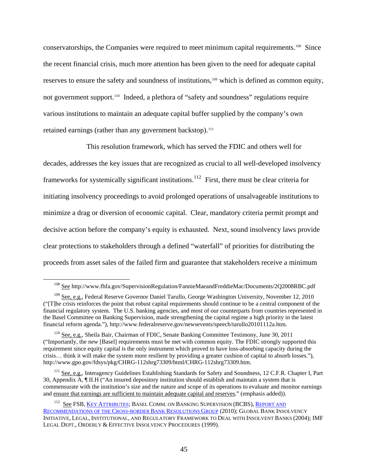conservatorships, the Companies were required to meet minimum capital requirements.[108](#page-44-0) Since the recent financial crisis, much more attention has been given to the need for adequate capital reserves to ensure the safety and soundness of institutions,[109](#page-44-1) which is defined as common equity, not government support.<sup>[110](#page-44-2)</sup> Indeed, a plethora of "safety and soundness" regulations require various institutions to maintain an adequate capital buffer supplied by the company's own retained earnings (rather than any government backstop).<sup>[111](#page-44-3)</sup>

This resolution framework, which has served the FDIC and others well for decades, addresses the key issues that are recognized as crucial to all well-developed insolvency frameworks for systemically significant institutions.<sup>[112](#page-44-4)</sup> First, there must be clear criteria for initiating insolvency proceedings to avoid prolonged operations of unsalvageable institutions to minimize a drag or diversion of economic capital. Clear, mandatory criteria permit prompt and decisive action before the company's equity is exhausted. Next, sound insolvency laws provide clear protections to stakeholders through a defined "waterfall" of priorities for distributing the proceeds from asset sales of the failed firm and guarantee that stakeholders receive a minimum

 <sup>108</sup> See http://www.fhfa.gov/SupervisionRegulation/FannieMaeandFreddieMac/Documents/2Q2008RBC.pdf

<span id="page-44-1"></span><span id="page-44-0"></span><sup>109</sup> See, e.g., Federal Reserve Governor Daniel Tarullo, George Washington University, November 12, 2010 ("[T]he crisis reinforces the point that robust capital requirements should continue to be a central component of the financial regulatory system. The U.S. banking agencies, and most of our counterparts from countries represented in the Basel Committee on Banking Supervision, made strengthening the capital regime a high priority in the latest financial reform agenda."), http://www.federalreserve.gov/newsevents/speech/tarullo20101112a.htm.

<span id="page-44-2"></span><sup>110</sup> See, e.g., Sheila Bair, Chairman of FDIC, Senate Banking Committee Testimony, June 30, 2011 ("Importantly, the new [Basel] requirements must be met with common equity. The FDIC strongly supported this requirement since equity capital is the only instrument which proved to have loss-absorbing capacity during the crisis… think it will make the system more resilient by providing a greater cushion of capital to absorb losses."), http://www.gpo.gov/fdsys/pkg/CHRG-112shrg73309/html/CHRG-112shrg73309.htm.

<span id="page-44-3"></span><sup>&</sup>lt;sup>111</sup> See, e.g., Interagency Guidelines Establishing Standards for Safety and Soundness, 12 C.F.R. Chapter I, Part 30, Appendix A, ¶ II.H ("An insured depository institution should establish and maintain a system that is commensurate with the institution's size and the nature and scope of its operations to evaluate and monitor earnings and ensure that earnings are sufficient to maintain adequate capital and reserves." (emphasis added)).

<span id="page-44-4"></span><sup>&</sup>lt;sup>112</sup> See FSB, [KEY ATTRIBUTES](http://www.financialstabilityboard.org/publications/r_111104cc.pdf); BASEL COMM. ON BANKING SUPERVISION (BCBS), REPORT AND [RECOMMENDATIONS OF THE CROSS-BORDER BANK RESOLUTIONS GROUP](http://www.bis.org/publ/bcbs169.pdf) (2010); GLOBAL BANK INSOLVENCY INITIATIVE, LEGAL, INSTITUTIONAL, AND REGULATORY FRAMEWORK TO DEAL WITH INSOLVENT BANKS (2004); IMF LEGAL DEPT., ORDERLY & EFFECTIVE INSOLVENCY PROCEDURES (1999).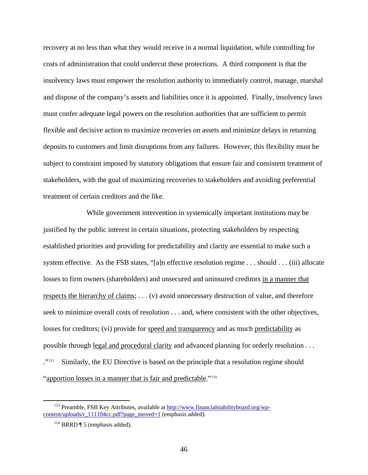recovery at no less than what they would receive in a normal liquidation, while controlling for costs of administration that could undercut these protections. A third component is that the insolvency laws must empower the resolution authority to immediately control, manage, marshal and dispose of the company's assets and liabilities once it is appointed. Finally, insolvency laws must confer adequate legal powers on the resolution authorities that are sufficient to permit flexible and decisive action to maximize recoveries on assets and minimize delays in returning deposits to customers and limit disruptions from any failures. However, this flexibility must be subject to constraint imposed by statutory obligations that ensure fair and consistent treatment of stakeholders, with the goal of maximizing recoveries to stakeholders and avoiding preferential treatment of certain creditors and the like.

While government intervention in systemically important institutions may be justified by the public interest in certain situations, protecting stakeholders by respecting established priorities and providing for predictability and clarity are essential to make such a system effective. As the FSB states, "[a]n effective resolution regime . . . should . . . (iii) allocate losses to firm owners (shareholders) and unsecured and uninsured creditors in a manner that respects the hierarchy of claims; . . . (v) avoid unnecessary destruction of value, and therefore seek to minimize overall costs of resolution . . . and, where consistent with the other objectives, losses for creditors; (vi) provide for speed and transparency and as much predictability as possible through legal and procedural clarity and advanced planning for orderly resolution . . . ."<sup>[113](#page-45-0)</sup> Similarly, the EU Directive is based on the principle that a resolution regime should "apportion losses in a manner that is fair and predictable."<sup>[114](#page-45-1)</sup>

<span id="page-45-1"></span><span id="page-45-0"></span><sup>&</sup>lt;sup>113</sup> Preamble, FSB Key Attributes, available at [http://www.financialstabilityboard.org/wp](http://www.financialstabilityboard.org/wp-content/uploads/r_111104cc.pdf?page_moved=1)[content/uploads/r\\_111104cc.pdf?page\\_moved=1](http://www.financialstabilityboard.org/wp-content/uploads/r_111104cc.pdf?page_moved=1) (emphasis added).

 $114$  BRRD ¶ 5 (emphasis added).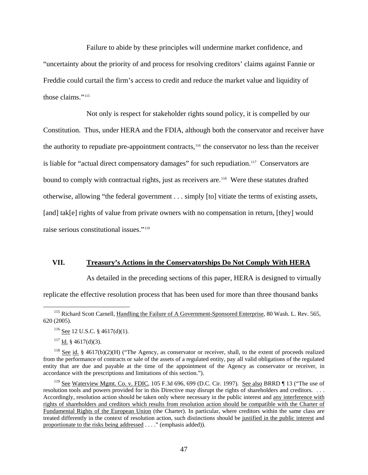Failure to abide by these principles will undermine market confidence, and "uncertainty about the priority of and process for resolving creditors' claims against Fannie or Freddie could curtail the firm's access to credit and reduce the market value and liquidity of those claims."[115](#page-46-0)

Not only is respect for stakeholder rights sound policy, it is compelled by our Constitution. Thus, under HERA and the FDIA, although both the conservator and receiver have the authority to repudiate pre-appointment contracts,[116](#page-46-1) the conservator no less than the receiver is liable for "actual direct compensatory damages" for such repudiation.<sup>[117](#page-46-2)</sup> Conservators are bound to comply with contractual rights, just as receivers are.<sup>[118](#page-46-3)</sup> Were these statutes drafted otherwise, allowing "the federal government . . . simply [to] vitiate the terms of existing assets, [and] tak[e] rights of value from private owners with no compensation in return, [they] would raise serious constitutional issues."[119](#page-46-4)

#### **VII. Treasury's Actions in the Conservatorships Do Not Comply With HERA**

As detailed in the preceding sections of this paper, HERA is designed to virtually

replicate the effective resolution process that has been used for more than three thousand banks

<span id="page-46-1"></span><span id="page-46-0"></span><sup>&</sup>lt;sup>115</sup> Richard Scott Carnell, Handling the Failure of A Government-Sponsored Enterprise, 80 Wash. L. Rev. 565, 620 (2005).

 $116$  See 12 U.S.C. § 4617(d)(1).

 $117$  Id. § 4617(d)(3).

<span id="page-46-3"></span><span id="page-46-2"></span><sup>&</sup>lt;sup>118</sup> See id. § 4617(b)(2)(H) ("The Agency, as conservator or receiver, shall, to the extent of proceeds realized from the performance of contracts or sale of the assets of a regulated entity, pay all valid obligations of the regulated entity that are due and payable at the time of the appointment of the Agency as conservator or receiver, in accordance with the prescriptions and limitations of this section.").

<span id="page-46-4"></span><sup>&</sup>lt;sup>119</sup> See Waterview Mgmt. Co. v. FDIC, 105 F.3d 696, 699 (D.C. Cir. 1997). See also BRRD ¶ 13 ("The use of resolution tools and powers provided for in this Directive may disrupt the rights of shareholders and creditors. . . . Accordingly, resolution action should be taken only where necessary in the public interest and any interference with rights of shareholders and creditors which results from resolution action should be compatible with the Charter of Fundamental Rights of the European Union (the Charter). In particular, where creditors within the same class are treated differently in the context of resolution action, such distinctions should be justified in the public interest and proportionate to the risks being addressed . . . ." (emphasis added)).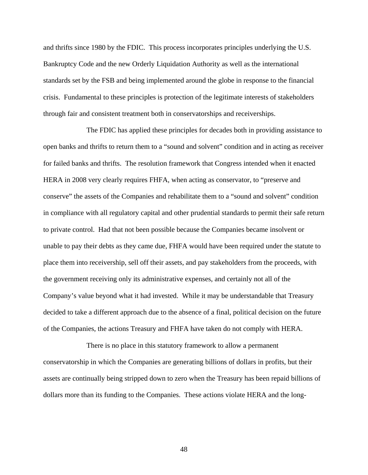and thrifts since 1980 by the FDIC. This process incorporates principles underlying the U.S. Bankruptcy Code and the new Orderly Liquidation Authority as well as the international standards set by the FSB and being implemented around the globe in response to the financial crisis. Fundamental to these principles is protection of the legitimate interests of stakeholders through fair and consistent treatment both in conservatorships and receiverships.

The FDIC has applied these principles for decades both in providing assistance to open banks and thrifts to return them to a "sound and solvent" condition and in acting as receiver for failed banks and thrifts. The resolution framework that Congress intended when it enacted HERA in 2008 very clearly requires FHFA, when acting as conservator, to "preserve and conserve" the assets of the Companies and rehabilitate them to a "sound and solvent" condition in compliance with all regulatory capital and other prudential standards to permit their safe return to private control. Had that not been possible because the Companies became insolvent or unable to pay their debts as they came due, FHFA would have been required under the statute to place them into receivership, sell off their assets, and pay stakeholders from the proceeds, with the government receiving only its administrative expenses, and certainly not all of the Company's value beyond what it had invested. While it may be understandable that Treasury decided to take a different approach due to the absence of a final, political decision on the future of the Companies, the actions Treasury and FHFA have taken do not comply with HERA.

There is no place in this statutory framework to allow a permanent conservatorship in which the Companies are generating billions of dollars in profits, but their assets are continually being stripped down to zero when the Treasury has been repaid billions of dollars more than its funding to the Companies. These actions violate HERA and the long-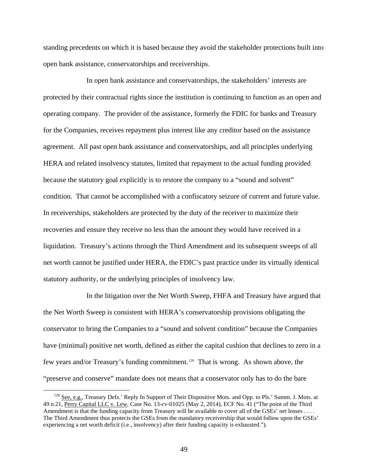standing precedents on which it is based because they avoid the stakeholder protections built into open bank assistance, conservatorships and receiverships.

In open bank assistance and conservatorships, the stakeholders' interests are protected by their contractual rights since the institution is continuing to function as an open and operating company. The provider of the assistance, formerly the FDIC for banks and Treasury for the Companies, receives repayment plus interest like any creditor based on the assistance agreement. All past open bank assistance and conservatorships, and all principles underlying HERA and related insolvency statutes, limited that repayment to the actual funding provided because the statutory goal explicitly is to restore the company to a "sound and solvent" condition. That cannot be accomplished with a confiscatory seizure of current and future value. In receiverships, stakeholders are protected by the duty of the receiver to maximize their recoveries and ensure they receive no less than the amount they would have received in a liquidation. Treasury's actions through the Third Amendment and its subsequent sweeps of all net worth cannot be justified under HERA, the FDIC's past practice under its virtually identical statutory authority, or the underlying principles of insolvency law.

In the litigation over the Net Worth Sweep, FHFA and Treasury have argued that the Net Worth Sweep is consistent with HERA's conservatorship provisions obligating the conservator to bring the Companies to a "sound and solvent condition" because the Companies have (minimal) positive net worth, defined as either the capital cushion that declines to zero in a few years and/or Treasury's funding commitment.[120](#page-48-0) That is wrong. As shown above, the "preserve and conserve" mandate does not means that a conservator only has to do the bare

<span id="page-48-0"></span><sup>&</sup>lt;sup>120</sup> See, e.g., Treasury Defs.' Reply In Support of Their Dispositive Mots. and Opp. to Pls.' Summ. J. Mots. at 49 n.21, Perry Capital LLC v. Lew, Case No. 13-cv-01025 (May 2, 2014), ECF No. 41 ("The point of the Third Amendment is that the funding capacity from Treasury will be available to cover all of the GSEs' net losses . . . . The Third Amendment thus protects the GSEs from the mandatory receivership that would follow upon the GSEs' experiencing a net worth deficit (i.e., insolvency) after their funding capacity is exhausted.").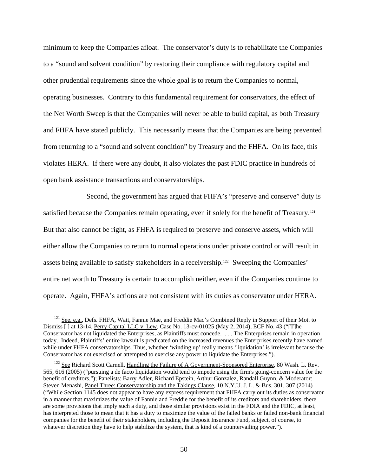minimum to keep the Companies afloat. The conservator's duty is to rehabilitate the Companies to a "sound and solvent condition" by restoring their compliance with regulatory capital and other prudential requirements since the whole goal is to return the Companies to normal, operating businesses. Contrary to this fundamental requirement for conservators, the effect of the Net Worth Sweep is that the Companies will never be able to build capital, as both Treasury and FHFA have stated publicly. This necessarily means that the Companies are being prevented from returning to a "sound and solvent condition" by Treasury and the FHFA. On its face, this violates HERA. If there were any doubt, it also violates the past FDIC practice in hundreds of open bank assistance transactions and conservatorships.

Second, the government has argued that FHFA's "preserve and conserve" duty is satisfied because the Companies remain operating, even if solely for the benefit of Treasury.<sup>[121](#page-49-0)</sup> But that also cannot be right, as FHFA is required to preserve and conserve assets, which will either allow the Companies to return to normal operations under private control or will result in assets being available to satisfy stakeholders in a receivership.[122](#page-49-1) Sweeping the Companies' entire net worth to Treasury is certain to accomplish neither, even if the Companies continue to operate. Again, FHFA's actions are not consistent with its duties as conservator under HERA.

<span id="page-49-0"></span><sup>&</sup>lt;sup>121</sup> See, e.g., Defs. FHFA, Watt, Fannie Mae, and Freddie Mac's Combined Reply in Support of their Mot. to Dismiss [] at 13-14, Perry Capital LLC v. Lew, Case No. 13-cv-01025 (May 2, 2014), ECF No. 43 ("[T]he Conservator has not liquidated the Enterprises, as Plaintiffs must concede. . . . The Enterprises remain in operation today. Indeed, Plaintiffs' entire lawsuit is predicated on the increased revenues the Enterprises recently have earned while under FHFA conservatorships. Thus, whether 'winding up' really means 'liquidation' is irrelevant because the Conservator has not exercised or attempted to exercise any power to liquidate the Enterprises.").

<span id="page-49-1"></span><sup>&</sup>lt;sup>122</sup> See Richard Scott Carnell, *Handling the Failure of A Government-Sponsored Enterprise*, 80 Wash. L. Rev. 565, 616 (2005) ("pursuing a de facto liquidation would tend to impede using the firm's going-concern value for the benefit of creditors."); Panelists: Barry Adler, Richard Epstein, Arthur Gonzalez, Randall Guynn, & Moderator: Steven Menashi, Panel Three: Conservatorship and the Takings Clause, 10 N.Y.U. J. L. & Bus. 301, 307 (2014) ("While Section 1145 does not appear to have any express requirement that FHFA carry out its duties as conservator in a manner that maximizes the value of Fannie and Freddie for the benefit of its creditors and shareholders, there are some provisions that imply such a duty, and those similar provisions exist in the FDIA and the FDIC, at least, has interpreted those to mean that it has a duty to maximize the value of the failed banks or failed non-bank financial companies for the benefit of their stakeholders, including the Deposit Insurance Fund, subject, of course, to whatever discretion they have to help stabilize the system, that is kind of a countervailing power.").